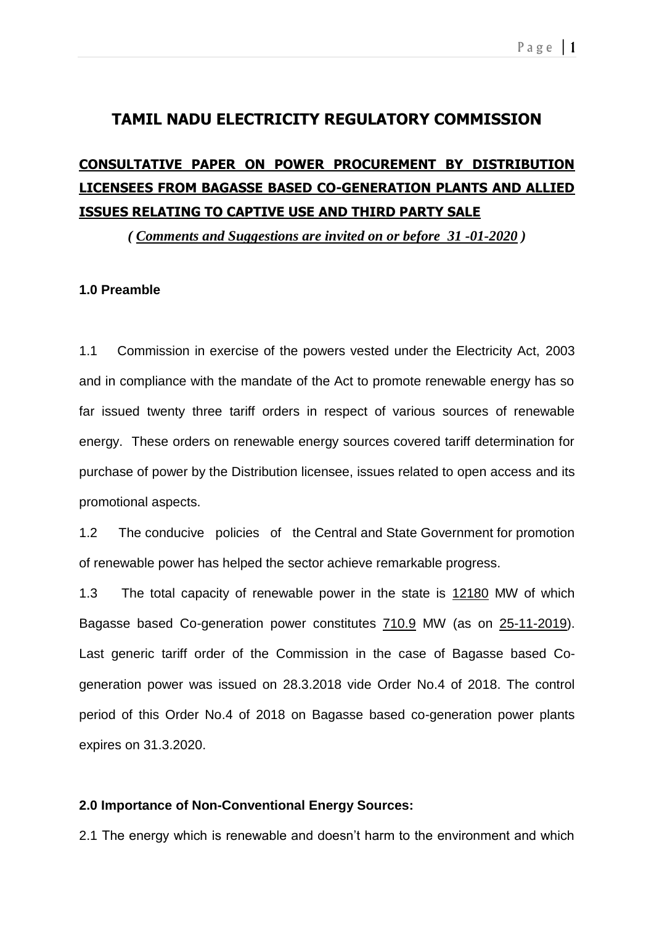## **TAMIL NADU ELECTRICITY REGULATORY COMMISSION**

# **CONSULTATIVE PAPER ON POWER PROCUREMENT BY DISTRIBUTION LICENSEES FROM BAGASSE BASED CO-GENERATION PLANTS AND ALLIED ISSUES RELATING TO CAPTIVE USE AND THIRD PARTY SALE**

*( Comments and Suggestions are invited on or before 31 -01-2020 )*

## **1.0 Preamble**

1.1 Commission in exercise of the powers vested under the Electricity Act, 2003 and in compliance with the mandate of the Act to promote renewable energy has so far issued twenty three tariff orders in respect of various sources of renewable energy. These orders on renewable energy sources covered tariff determination for purchase of power by the Distribution licensee, issues related to open access and its promotional aspects.

1.2 The conducive policies of the Central and State Government for promotion of renewable power has helped the sector achieve remarkable progress.

1.3 The total capacity of renewable power in the state is 12180 MW of which Bagasse based Co-generation power constitutes 710.9 MW (as on 25-11-2019). Last generic tariff order of the Commission in the case of Bagasse based Cogeneration power was issued on 28.3.2018 vide Order No.4 of 2018. The control period of this Order No.4 of 2018 on Bagasse based co-generation power plants expires on 31.3.2020.

### **2.0 Importance of Non-Conventional Energy Sources:**

2.1 The energy which is renewable and doesn't harm to the environment and which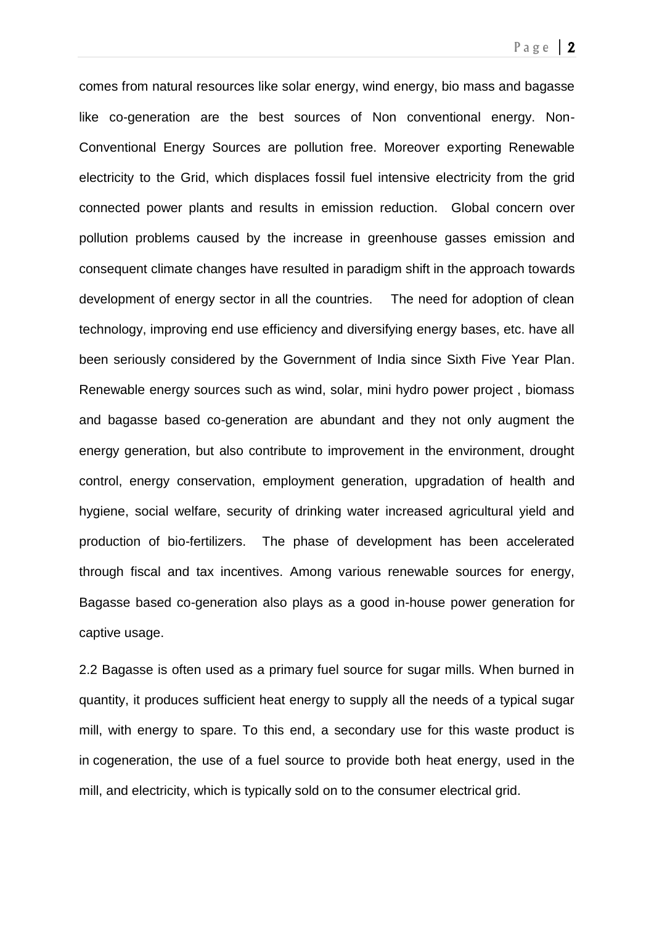comes from natural resources like solar energy, wind energy, bio mass and bagasse like co-generation are the best sources of Non conventional energy. Non-Conventional Energy Sources are pollution free. Moreover exporting Renewable electricity to the Grid, which displaces fossil fuel intensive electricity from the grid connected power plants and results in emission reduction. Global concern over pollution problems caused by the increase in greenhouse gasses emission and consequent climate changes have resulted in paradigm shift in the approach towards development of energy sector in all the countries. The need for adoption of clean technology, improving end use efficiency and diversifying energy bases, etc. have all been seriously considered by the Government of India since Sixth Five Year Plan. Renewable energy sources such as wind, solar, mini hydro power project , biomass and bagasse based co-generation are abundant and they not only augment the energy generation, but also contribute to improvement in the environment, drought control, energy conservation, employment generation, upgradation of health and hygiene, social welfare, security of drinking water increased agricultural yield and production of bio-fertilizers. The phase of development has been accelerated through fiscal and tax incentives. Among various renewable sources for energy, Bagasse based co-generation also plays as a good in-house power generation for captive usage.

2.2 Bagasse is often used as a primary fuel source for sugar mills. When burned in quantity, it produces sufficient heat energy to supply all the needs of a typical sugar mill, with energy to spare. To this end, a secondary use for this waste product is in [cogeneration,](https://en.wikipedia.org/wiki/Cogeneration) the use of a fuel source to provide both heat energy, used in the mill, and electricity, which is typically sold on to the consumer [electrical grid.](https://en.wikipedia.org/wiki/Electrical_grid)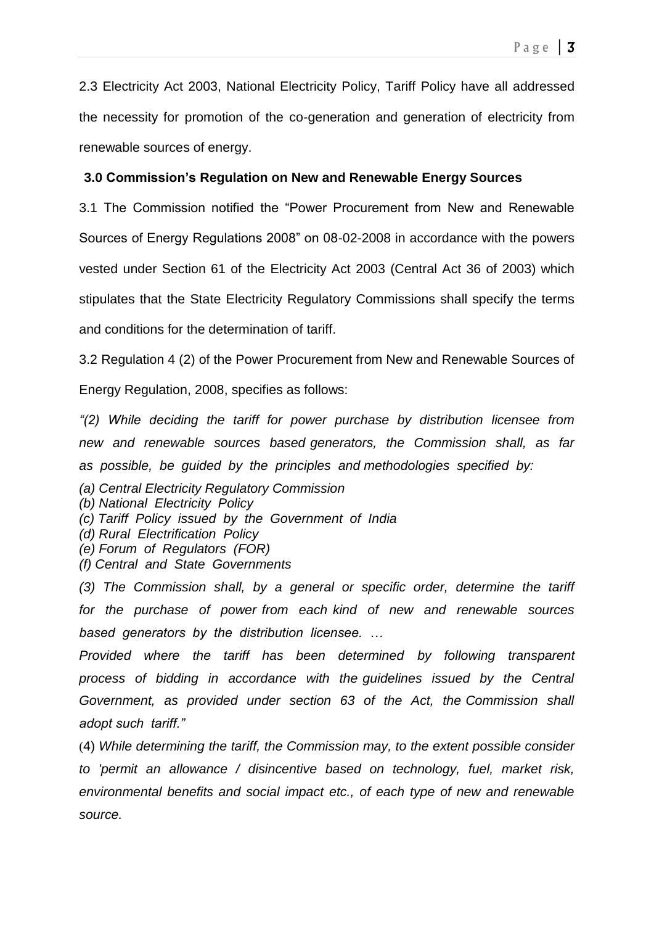2.3 Electricity Act 2003, National Electricity Policy, Tariff Policy have all addressed the necessity for promotion of the co-generation and generation of electricity from renewable sources of energy.

## **3.0 Commission's Regulation on New and Renewable Energy Sources**

3.1 The Commission notified the "Power Procurement from New and Renewable Sources of Energy Regulations 2008" on 08-02-2008 in accordance with the powers vested under Section 61 of the Electricity Act 2003 (Central Act 36 of 2003) which stipulates that the State Electricity Regulatory Commissions shall specify the terms and conditions for the determination of tariff.

3.2 Regulation 4 (2) of the Power Procurement from New and Renewable Sources of

Energy Regulation, 2008, specifies as follows:

*"(2) While deciding the tariff for power purchase by distribution licensee from new and renewable sources based generators, the Commission shall, as far as possible, be guided by the principles and methodologies specified by:*

- *(a) Central Electricity Regulatory Commission*
- *(b) National Electricity Policy*
- *(c) Tariff Policy issued by the Government of India*
- *(d) Rural Electrification Policy*
- *(e) Forum of Regulators (FOR)*
- *(f) Central and State Governments*

*(3) The Commission shall, by a general or specific order, determine the tariff for the purchase of power from each kind of new and renewable sources based generators by the distribution licensee. …*

*Provided where the tariff has been determined by following transparent process of bidding in accordance with the guidelines issued by the Central Government, as provided under section 63 of the Act, the Commission shall adopt such tariff."*

(4) *While determining the tariff, the Commission may, to the extent possible consider to 'permit an allowance / disincentive based on technology, fuel, market risk, environmental benefits and social impact etc., of each type of new and renewable source.*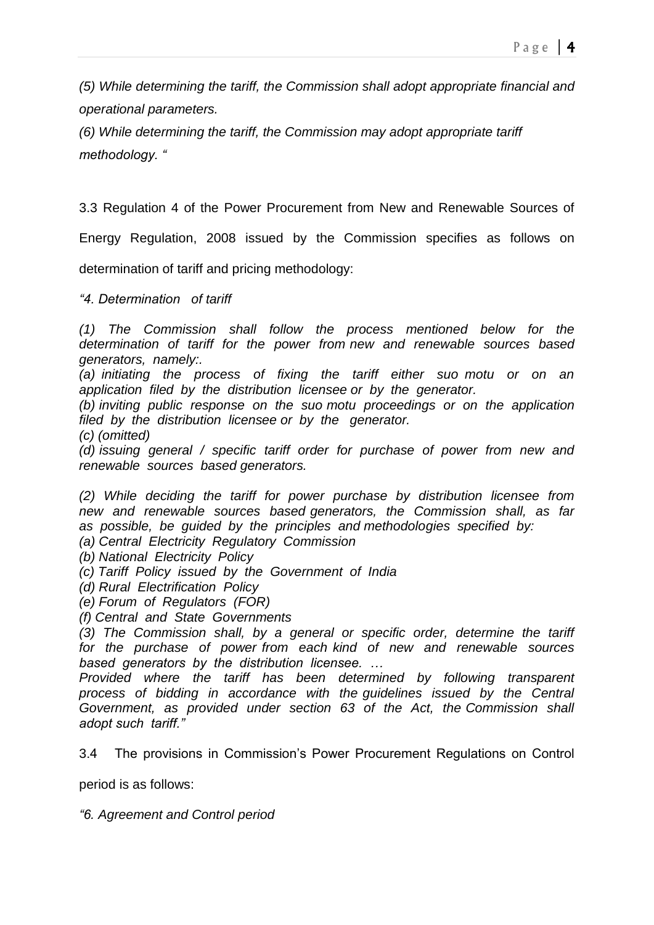*(5) While determining the tariff, the Commission shall adopt appropriate financial and operational parameters.*

*(6) While determining the tariff, the Commission may adopt appropriate tariff methodology. "*

3.3 Regulation 4 of the Power Procurement from New and Renewable Sources of

Energy Regulation, 2008 issued by the Commission specifies as follows on

determination of tariff and pricing methodology:

*"4. Determination of tariff*

*(1) The Commission shall follow the process mentioned below for the determination of tariff for the power from new and renewable sources based generators, namely:.*

*(a) initiating the process of fixing the tariff either suo motu or on an application filed by the distribution licensee or by the generator.*

*(b) inviting public response on the suo motu proceedings or on the application filed by the distribution licensee or by the generator.*

*(c) (omitted)*

*(d) issuing general / specific tariff order for purchase of power from new and renewable sources based generators.*

*(2) While deciding the tariff for power purchase by distribution licensee from new and renewable sources based generators, the Commission shall, as far as possible, be guided by the principles and methodologies specified by:*

*(a) Central Electricity Regulatory Commission*

*(b) National Electricity Policy*

*(c) Tariff Policy issued by the Government of India*

*(d) Rural Electrification Policy*

*(e) Forum of Regulators (FOR)*

*(f) Central and State Governments*

*(3) The Commission shall, by a general or specific order, determine the tariff for the purchase of power from each kind of new and renewable sources based generators by the distribution licensee. …*

*Provided where the tariff has been determined by following transparent process of bidding in accordance with the guidelines issued by the Central Government, as provided under section 63 of the Act, the Commission shall adopt such tariff."*

3.4 The provisions in Commission's Power Procurement Regulations on Control

period is as follows:

*"6. Agreement and Control period*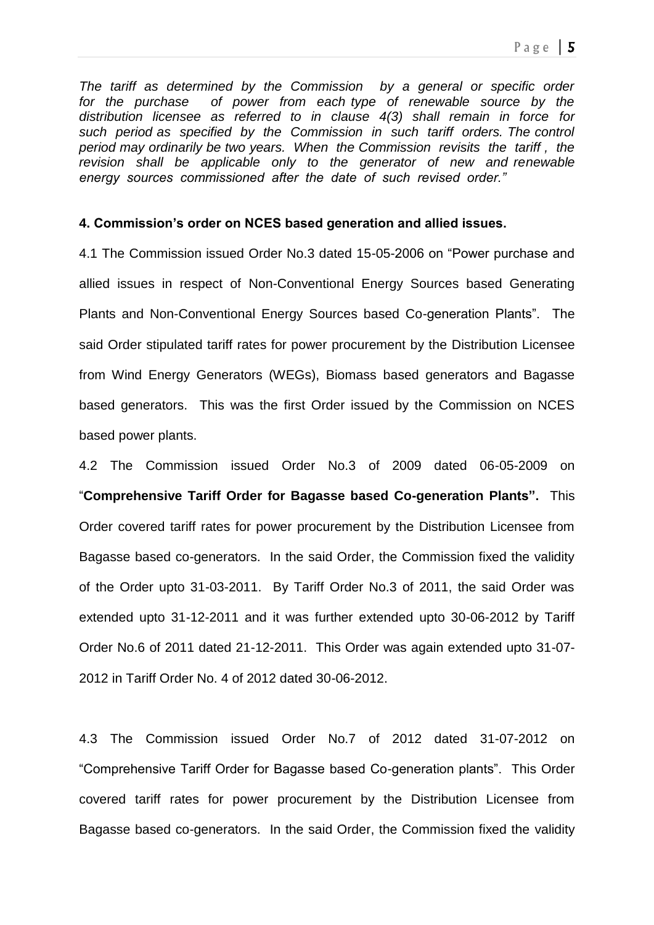*The tariff as determined by the Commission by a general or specific order for the purchase of power from each type of renewable source by the distribution licensee as referred to in clause 4(3) shall remain in force for such period as specified by the Commission in such tariff orders. The control period may ordinarily be two years. When the Commission revisits the tariff , the revision shall be applicable only to the generator of new and renewable energy sources commissioned after the date of such revised order."*

### **4. Commission's order on NCES based generation and allied issues.**

4.1 The Commission issued Order No.3 dated 15-05-2006 on "Power purchase and allied issues in respect of Non-Conventional Energy Sources based Generating Plants and Non-Conventional Energy Sources based Co-generation Plants". The said Order stipulated tariff rates for power procurement by the Distribution Licensee from Wind Energy Generators (WEGs), Biomass based generators and Bagasse based generators. This was the first Order issued by the Commission on NCES based power plants.

4.2 The Commission issued Order No.3 of 2009 dated 06-05-2009 on "**Comprehensive Tariff Order for Bagasse based Co-generation Plants".** This Order covered tariff rates for power procurement by the Distribution Licensee from Bagasse based co-generators. In the said Order, the Commission fixed the validity of the Order upto 31-03-2011. By Tariff Order No.3 of 2011, the said Order was extended upto 31-12-2011 and it was further extended upto 30-06-2012 by Tariff Order No.6 of 2011 dated 21-12-2011. This Order was again extended upto 31-07- 2012 in Tariff Order No. 4 of 2012 dated 30-06-2012.

4.3 The Commission issued Order No.7 of 2012 dated 31-07-2012 on "Comprehensive Tariff Order for Bagasse based Co-generation plants". This Order covered tariff rates for power procurement by the Distribution Licensee from Bagasse based co-generators. In the said Order, the Commission fixed the validity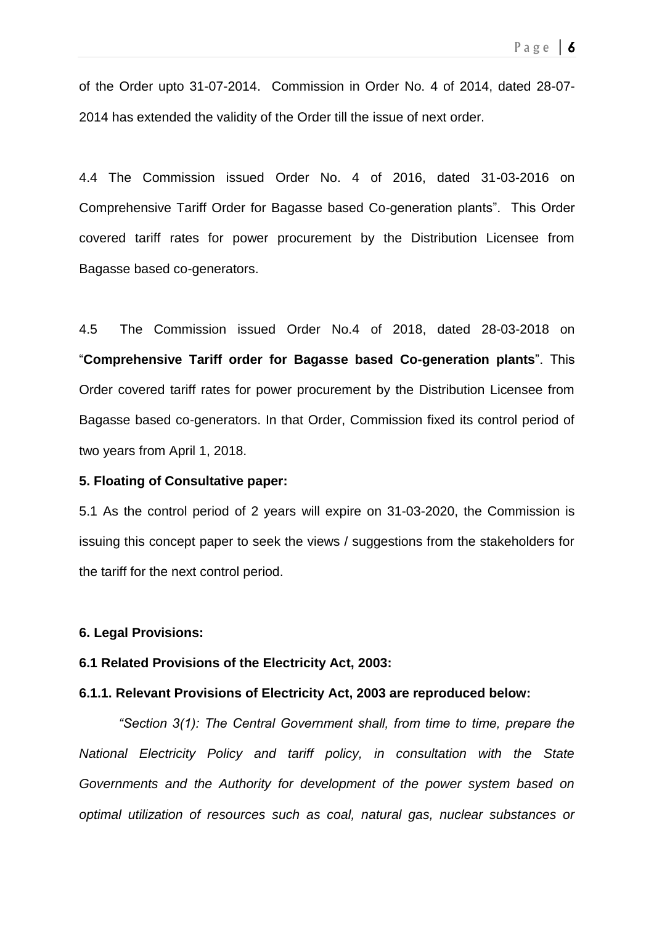of the Order upto 31-07-2014. Commission in Order No. 4 of 2014, dated 28-07- 2014 has extended the validity of the Order till the issue of next order.

4.4 The Commission issued Order No. 4 of 2016, dated 31-03-2016 on Comprehensive Tariff Order for Bagasse based Co-generation plants". This Order covered tariff rates for power procurement by the Distribution Licensee from Bagasse based co-generators.

4.5 The Commission issued Order No.4 of 2018, dated 28-03-2018 on "**Comprehensive Tariff order for Bagasse based Co-generation plants**". This Order covered tariff rates for power procurement by the Distribution Licensee from Bagasse based co-generators. In that Order, Commission fixed its control period of two years from April 1, 2018.

#### **5. Floating of Consultative paper:**

5.1 As the control period of 2 years will expire on 31-03-2020, the Commission is issuing this concept paper to seek the views / suggestions from the stakeholders for the tariff for the next control period.

### **6. Legal Provisions:**

#### **6.1 Related Provisions of the Electricity Act, 2003:**

## **6.1.1. Relevant Provisions of Electricity Act, 2003 are reproduced below:**

*"Section 3(1): The Central Government shall, from time to time, prepare the National Electricity Policy and tariff policy, in consultation with the State Governments and the Authority for development of the power system based on optimal utilization of resources such as coal, natural gas, nuclear substances or*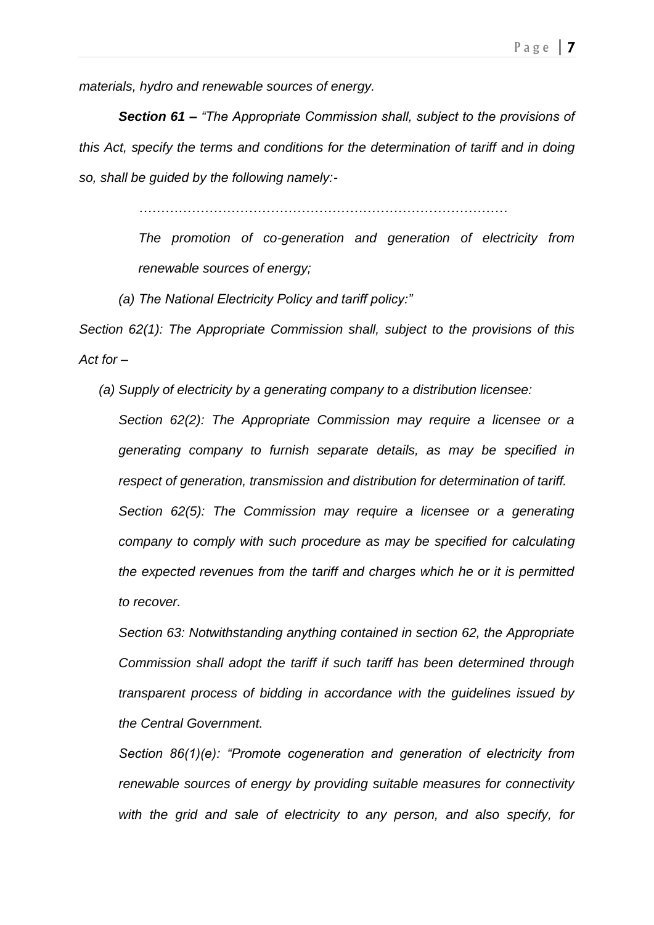*materials, hydro and renewable sources of energy.*

*Section 61 – "The Appropriate Commission shall, subject to the provisions of this Act, specify the terms and conditions for the determination of tariff and in doing so, shall be guided by the following namely:-*

*…………………………………………………………………………*

*The promotion of co-generation and generation of electricity from renewable sources of energy;*

*(a) The National Electricity Policy and tariff policy:"*

*Section 62(1): The Appropriate Commission shall, subject to the provisions of this Act for –*

*(a) Supply of electricity by a generating company to a distribution licensee:*

*Section 62(2): The Appropriate Commission may require a licensee or a generating company to furnish separate details, as may be specified in respect of generation, transmission and distribution for determination of tariff. Section 62(5): The Commission may require a licensee or a generating company to comply with such procedure as may be specified for calculating the expected revenues from the tariff and charges which he or it is permitted to recover.*

*Section 63: Notwithstanding anything contained in section 62, the Appropriate Commission shall adopt the tariff if such tariff has been determined through transparent process of bidding in accordance with the guidelines issued by the Central Government.*

*Section 86(1)(e): "Promote cogeneration and generation of electricity from renewable sources of energy by providing suitable measures for connectivity with the grid and sale of electricity to any person, and also specify, for*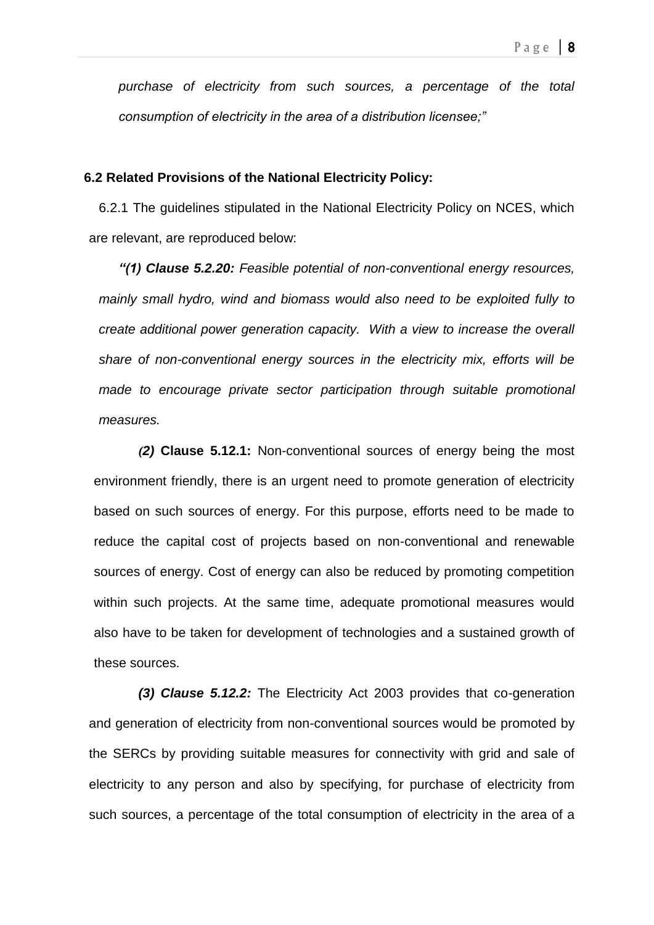*purchase of electricity from such sources, a percentage of the total consumption of electricity in the area of a distribution licensee;"*

### **6.2 Related Provisions of the National Electricity Policy:**

6.2.1 The guidelines stipulated in the National Electricity Policy on NCES, which are relevant, are reproduced below:

*"(1) Clause 5.2.20: Feasible potential of non-conventional energy resources, mainly small hydro, wind and biomass would also need to be exploited fully to create additional power generation capacity. With a view to increase the overall share of non-conventional energy sources in the electricity mix, efforts will be made to encourage private sector participation through suitable promotional measures.*

*(2)* **Clause 5.12.1:** Non-conventional sources of energy being the most environment friendly, there is an urgent need to promote generation of electricity based on such sources of energy. For this purpose, efforts need to be made to reduce the capital cost of projects based on non-conventional and renewable sources of energy. Cost of energy can also be reduced by promoting competition within such projects. At the same time, adequate promotional measures would also have to be taken for development of technologies and a sustained growth of these sources.

*(3) Clause 5.12.2:* The Electricity Act 2003 provides that co-generation and generation of electricity from non-conventional sources would be promoted by the SERCs by providing suitable measures for connectivity with grid and sale of electricity to any person and also by specifying, for purchase of electricity from such sources, a percentage of the total consumption of electricity in the area of a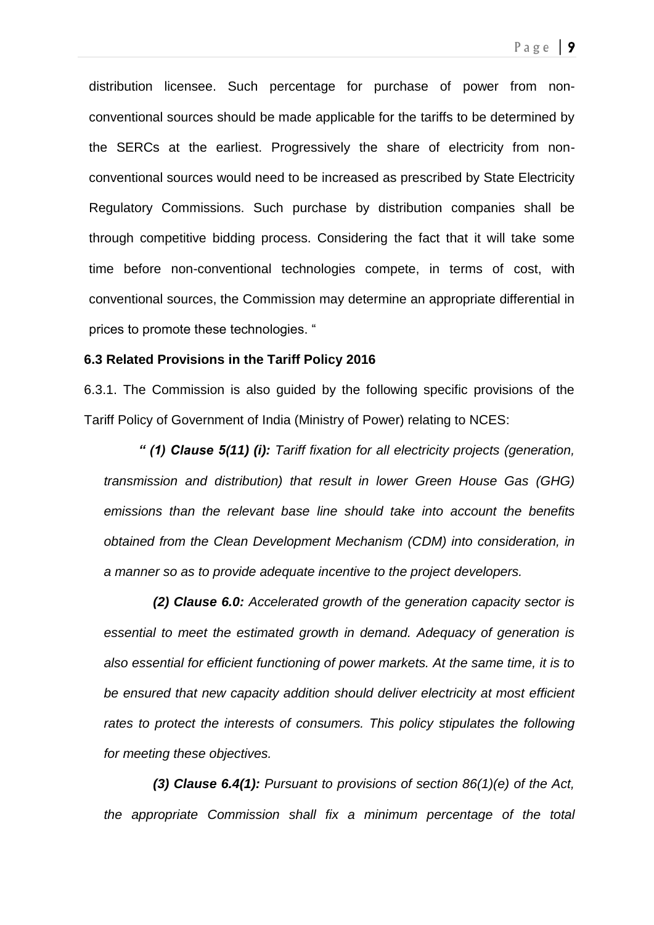Page  $\vert 9 \vert$ 

distribution licensee. Such percentage for purchase of power from nonconventional sources should be made applicable for the tariffs to be determined by the SERCs at the earliest. Progressively the share of electricity from nonconventional sources would need to be increased as prescribed by State Electricity Regulatory Commissions. Such purchase by distribution companies shall be through competitive bidding process. Considering the fact that it will take some time before non-conventional technologies compete, in terms of cost, with conventional sources, the Commission may determine an appropriate differential in prices to promote these technologies. "

### **6.3 Related Provisions in the Tariff Policy 2016**

6.3.1. The Commission is also guided by the following specific provisions of the Tariff Policy of Government of India (Ministry of Power) relating to NCES:

*" (1) Clause 5(11) (i): Tariff fixation for all electricity projects (generation, transmission and distribution) that result in lower Green House Gas (GHG) emissions than the relevant base line should take into account the benefits obtained from the Clean Development Mechanism (CDM) into consideration, in a manner so as to provide adequate incentive to the project developers.*

 *(2) Clause 6.0: Accelerated growth of the generation capacity sector is essential to meet the estimated growth in demand. Adequacy of generation is also essential for efficient functioning of power markets. At the same time, it is to be ensured that new capacity addition should deliver electricity at most efficient rates to protect the interests of consumers. This policy stipulates the following for meeting these objectives.*

 *(3) Clause 6.4(1): Pursuant to provisions of section 86(1)(e) of the Act, the appropriate Commission shall fix a minimum percentage of the total*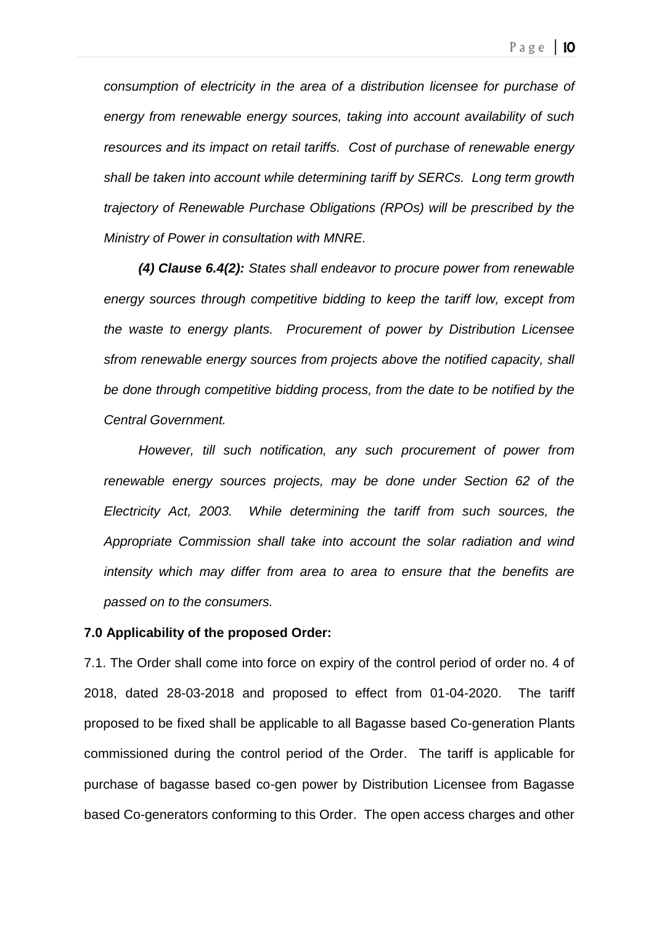*consumption of electricity in the area of a distribution licensee for purchase of energy from renewable energy sources, taking into account availability of such resources and its impact on retail tariffs. Cost of purchase of renewable energy shall be taken into account while determining tariff by SERCs. Long term growth trajectory of Renewable Purchase Obligations (RPOs) will be prescribed by the Ministry of Power in consultation with MNRE.*

*(4) Clause 6.4(2): States shall endeavor to procure power from renewable energy sources through competitive bidding to keep the tariff low, except from the waste to energy plants. Procurement of power by Distribution Licensee sfrom renewable energy sources from projects above the notified capacity, shall be done through competitive bidding process, from the date to be notified by the Central Government.*

*However, till such notification, any such procurement of power from renewable energy sources projects, may be done under Section 62 of the Electricity Act, 2003. While determining the tariff from such sources, the Appropriate Commission shall take into account the solar radiation and wind intensity which may differ from area to area to ensure that the benefits are passed on to the consumers.*

### **7.0 Applicability of the proposed Order:**

7.1. The Order shall come into force on expiry of the control period of order no. 4 of 2018, dated 28-03-2018 and proposed to effect from 01-04-2020. The tariff proposed to be fixed shall be applicable to all Bagasse based Co-generation Plants commissioned during the control period of the Order. The tariff is applicable for purchase of bagasse based co-gen power by Distribution Licensee from Bagasse based Co-generators conforming to this Order. The open access charges and other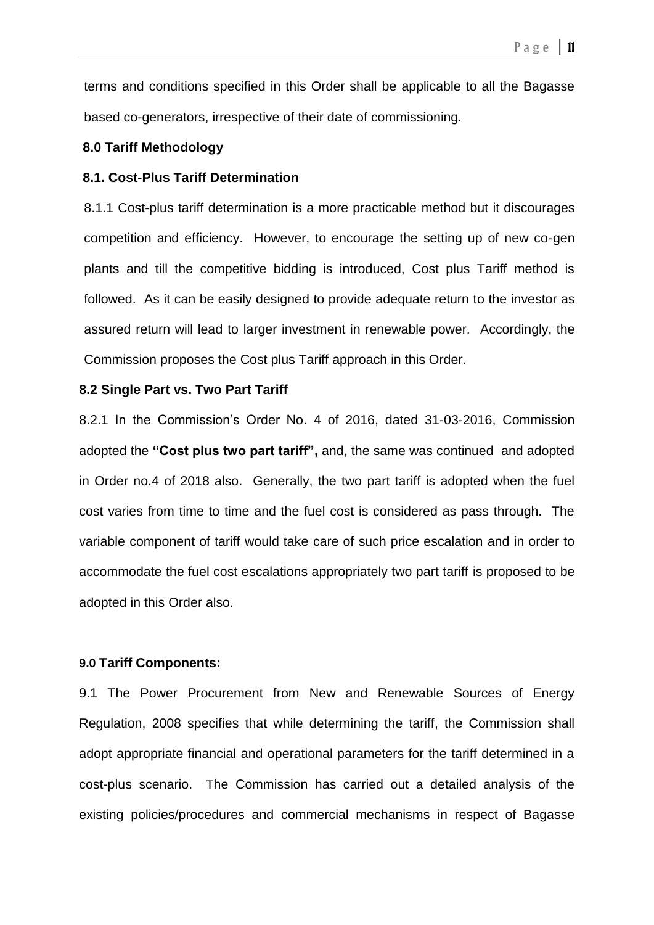terms and conditions specified in this Order shall be applicable to all the Bagasse based co-generators, irrespective of their date of commissioning.

#### **8.0 Tariff Methodology**

### **8.1. Cost-Plus Tariff Determination**

8.1.1 Cost-plus tariff determination is a more practicable method but it discourages competition and efficiency. However, to encourage the setting up of new co-gen plants and till the competitive bidding is introduced, Cost plus Tariff method is followed. As it can be easily designed to provide adequate return to the investor as assured return will lead to larger investment in renewable power. Accordingly, the Commission proposes the Cost plus Tariff approach in this Order.

### **8.2 Single Part vs. Two Part Tariff**

8.2.1 In the Commission's Order No. 4 of 2016, dated 31-03-2016, Commission adopted the **"Cost plus two part tariff",** and, the same was continued and adopted in Order no.4 of 2018 also. Generally, the two part tariff is adopted when the fuel cost varies from time to time and the fuel cost is considered as pass through. The variable component of tariff would take care of such price escalation and in order to accommodate the fuel cost escalations appropriately two part tariff is proposed to be adopted in this Order also.

#### **9.0 Tariff Components:**

9.1 The Power Procurement from New and Renewable Sources of Energy Regulation, 2008 specifies that while determining the tariff, the Commission shall adopt appropriate financial and operational parameters for the tariff determined in a cost-plus scenario. The Commission has carried out a detailed analysis of the existing policies/procedures and commercial mechanisms in respect of Bagasse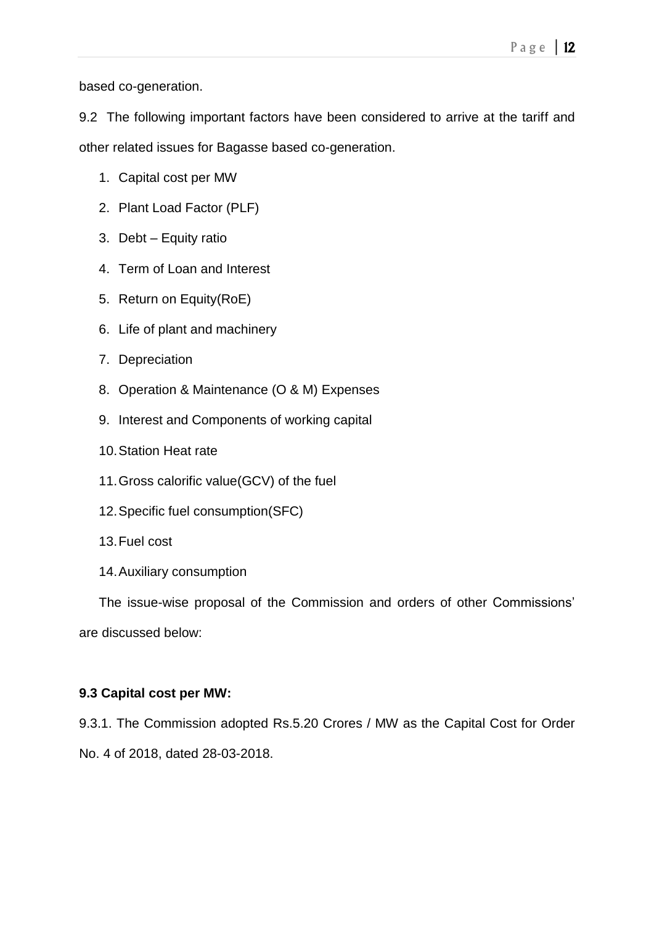based co-generation.

9.2 The following important factors have been considered to arrive at the tariff and other related issues for Bagasse based co-generation.

- 1. Capital cost per MW
- 2. Plant Load Factor (PLF)
- 3. Debt Equity ratio
- 4. Term of Loan and Interest
- 5. Return on Equity(RoE)
- 6. Life of plant and machinery
- 7. Depreciation
- 8. Operation & Maintenance (O & M) Expenses
- 9. Interest and Components of working capital
- 10.Station Heat rate
- 11.Gross calorific value(GCV) of the fuel
- 12.Specific fuel consumption(SFC)
- 13.Fuel cost
- 14.Auxiliary consumption

The issue-wise proposal of the Commission and orders of other Commissions' are discussed below:

## **9.3 Capital cost per MW:**

9.3.1. The Commission adopted Rs.5.20 Crores / MW as the Capital Cost for Order No. 4 of 2018, dated 28-03-2018.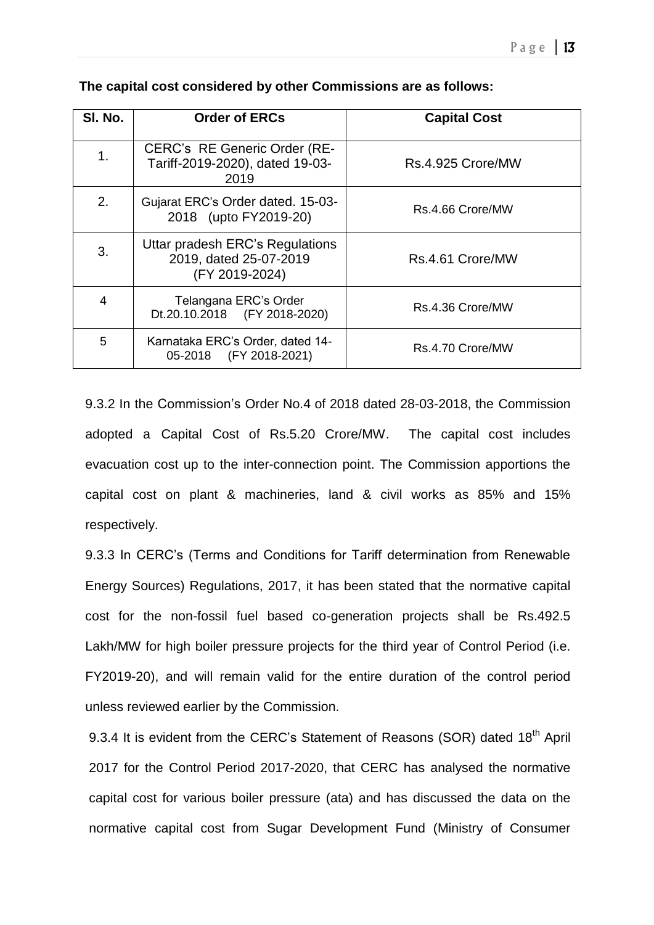| SI. No. | <b>Order of ERCs</b>                                                        | <b>Capital Cost</b> |
|---------|-----------------------------------------------------------------------------|---------------------|
| 1.      | CERC's RE Generic Order (RE-<br>Tariff-2019-2020), dated 19-03-<br>2019     | Rs.4.925 Crore/MW   |
| 2.      | Gujarat ERC's Order dated. 15-03-<br>2018 (upto FY2019-20)                  | Rs.4.66 Crore/MW    |
| 3.      | Uttar pradesh ERC's Regulations<br>2019, dated 25-07-2019<br>(FY 2019-2024) | Rs.4.61 Crore/MW    |
| 4       | Telangana ERC's Order<br>Dt.20.10.2018 (FY 2018-2020)                       | Rs.4.36 Crore/MW    |
| 5       | Karnataka ERC's Order, dated 14-<br>(FY 2018-2021)<br>05-2018               | Rs.4.70 Crore/MW    |

### **The capital cost considered by other Commissions are as follows:**

9.3.2 In the Commission's Order No.4 of 2018 dated 28-03-2018, the Commission adopted a Capital Cost of Rs.5.20 Crore/MW. The capital cost includes evacuation cost up to the inter-connection point. The Commission apportions the capital cost on plant & machineries, land & civil works as 85% and 15% respectively.

9.3.3 In CERC's (Terms and Conditions for Tariff determination from Renewable Energy Sources) Regulations, 2017, it has been stated that the normative capital cost for the non-fossil fuel based co-generation projects shall be Rs.492.5 Lakh/MW for high boiler pressure projects for the third year of Control Period (i.e. FY2019-20), and will remain valid for the entire duration of the control period unless reviewed earlier by the Commission.

9.3.4 It is evident from the CERC's Statement of Reasons (SOR) dated 18<sup>th</sup> April 2017 for the Control Period 2017-2020, that CERC has analysed the normative capital cost for various boiler pressure (ata) and has discussed the data on the normative capital cost from Sugar Development Fund (Ministry of Consumer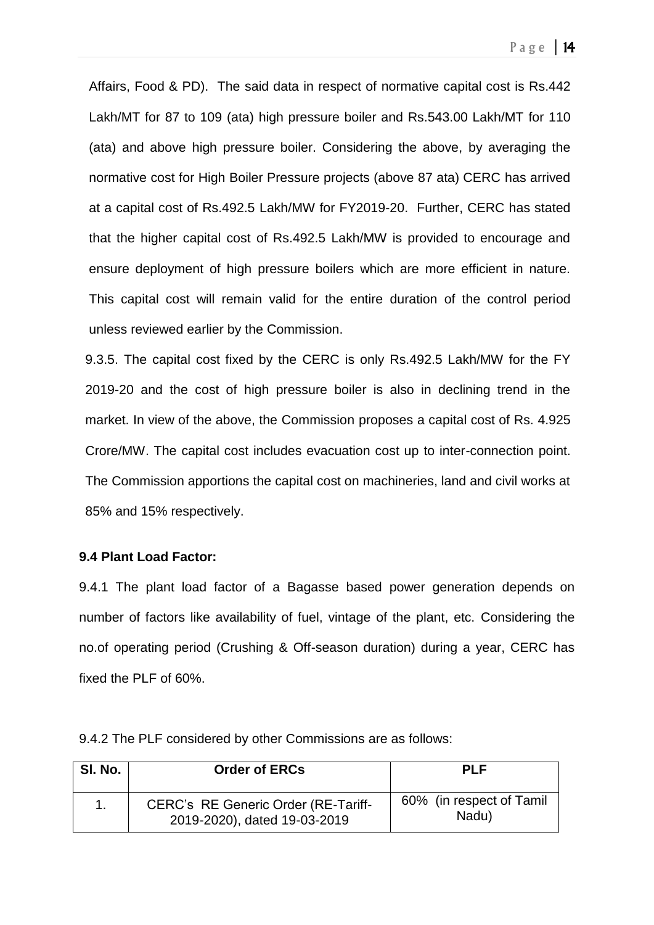Page  $|14|$ 

Affairs, Food & PD). The said data in respect of normative capital cost is Rs.442 Lakh/MT for 87 to 109 (ata) high pressure boiler and Rs.543.00 Lakh/MT for 110 (ata) and above high pressure boiler. Considering the above, by averaging the normative cost for High Boiler Pressure projects (above 87 ata) CERC has arrived at a capital cost of Rs.492.5 Lakh/MW for FY2019-20. Further, CERC has stated that the higher capital cost of Rs.492.5 Lakh/MW is provided to encourage and ensure deployment of high pressure boilers which are more efficient in nature. This capital cost will remain valid for the entire duration of the control period unless reviewed earlier by the Commission.

9.3.5. The capital cost fixed by the CERC is only Rs.492.5 Lakh/MW for the FY 2019-20 and the cost of high pressure boiler is also in declining trend in the market. In view of the above, the Commission proposes a capital cost of Rs. 4.925 Crore/MW. The capital cost includes evacuation cost up to inter-connection point. The Commission apportions the capital cost on machineries, land and civil works at 85% and 15% respectively.

### **9.4 Plant Load Factor:**

9.4.1 The plant load factor of a Bagasse based power generation depends on number of factors like availability of fuel, vintage of the plant, etc. Considering the no.of operating period (Crushing & Off-season duration) during a year, CERC has fixed the PLF of 60%.

| SI. No. | <b>Order of ERCs</b>                                                | PI F                              |
|---------|---------------------------------------------------------------------|-----------------------------------|
|         | CERC's RE Generic Order (RE-Tariff-<br>2019-2020), dated 19-03-2019 | 60% (in respect of Tamil<br>Nadu) |

9.4.2 The PLF considered by other Commissions are as follows: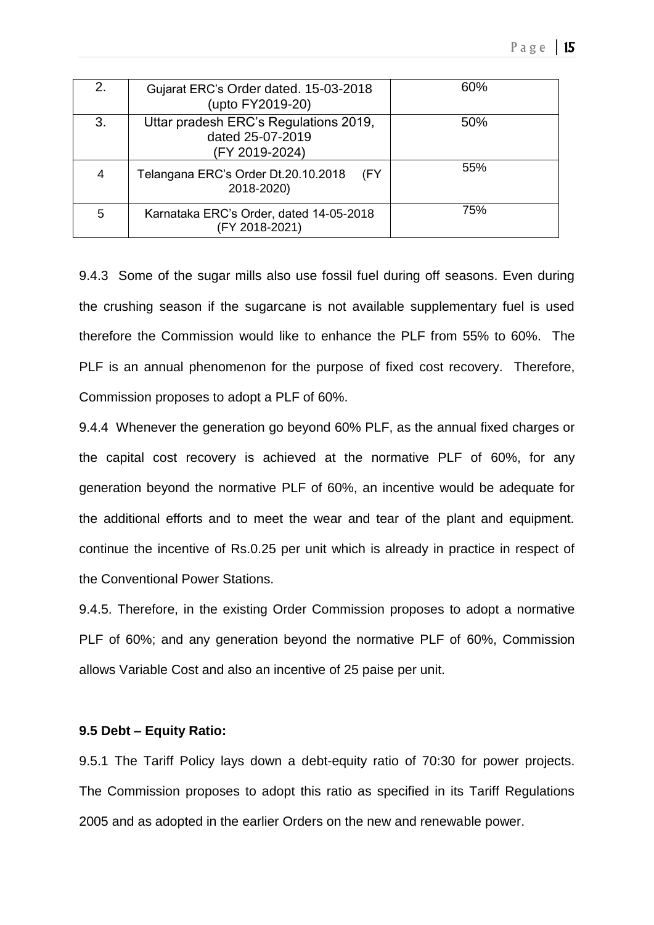| 2. | Gujarat ERC's Order dated. 15-03-2018<br>(upto FY2019-20)                   | 60% |
|----|-----------------------------------------------------------------------------|-----|
| 3. | Uttar pradesh ERC's Regulations 2019,<br>dated 25-07-2019<br>(FY 2019-2024) | 50% |
| 4  | Telangana ERC's Order Dt.20.10.2018<br>(FY<br>2018-2020)                    | 55% |
| 5  | Karnataka ERC's Order, dated 14-05-2018<br>(FY 2018-2021)                   | 75% |

9.4.3 Some of the sugar mills also use fossil fuel during off seasons. Even during the crushing season if the sugarcane is not available supplementary fuel is used therefore the Commission would like to enhance the PLF from 55% to 60%. The PLF is an annual phenomenon for the purpose of fixed cost recovery. Therefore, Commission proposes to adopt a PLF of 60%.

9.4.4 Whenever the generation go beyond 60% PLF, as the annual fixed charges or the capital cost recovery is achieved at the normative PLF of 60%, for any generation beyond the normative PLF of 60%, an incentive would be adequate for the additional efforts and to meet the wear and tear of the plant and equipment. continue the incentive of Rs.0.25 per unit which is already in practice in respect of the Conventional Power Stations.

9.4.5. Therefore, in the existing Order Commission proposes to adopt a normative PLF of 60%; and any generation beyond the normative PLF of 60%, Commission allows Variable Cost and also an incentive of 25 paise per unit.

### **9.5 Debt – Equity Ratio:**

9.5.1 The Tariff Policy lays down a debt-equity ratio of 70:30 for power projects. The Commission proposes to adopt this ratio as specified in its Tariff Regulations 2005 and as adopted in the earlier Orders on the new and renewable power.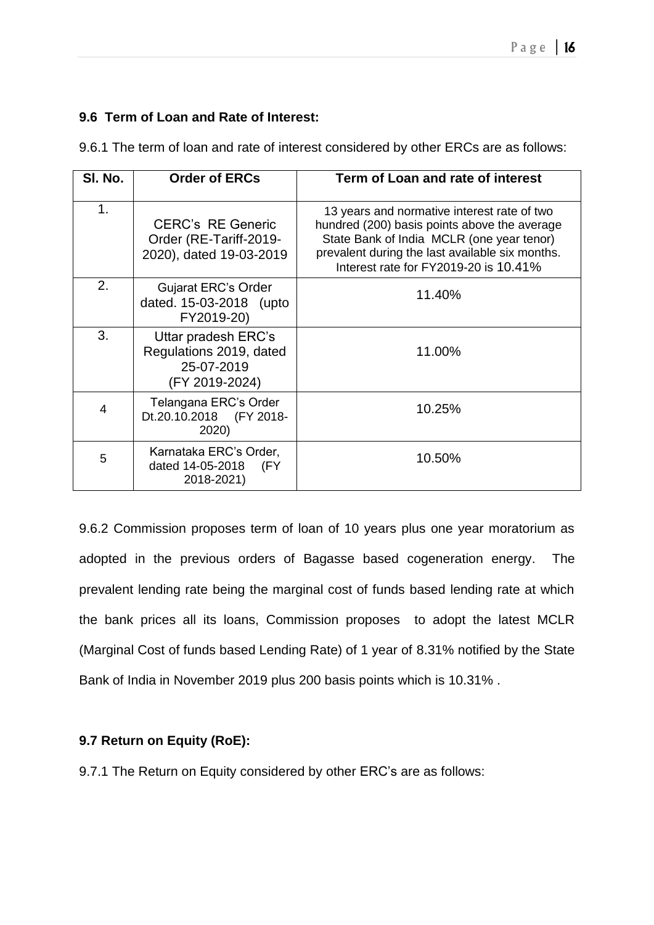## **9.6 Term of Loan and Rate of Interest:**

| SI. No.        | <b>Order of ERCs</b>                                                           | Term of Loan and rate of interest                                                                                                                                                                                                    |
|----------------|--------------------------------------------------------------------------------|--------------------------------------------------------------------------------------------------------------------------------------------------------------------------------------------------------------------------------------|
| 1 <sub>1</sub> | <b>CERC's RE Generic</b><br>Order (RE-Tariff-2019-<br>2020), dated 19-03-2019  | 13 years and normative interest rate of two<br>hundred (200) basis points above the average<br>State Bank of India MCLR (one year tenor)<br>prevalent during the last available six months.<br>Interest rate for FY2019-20 is 10.41% |
| 2.             | <b>Gujarat ERC's Order</b><br>dated. 15-03-2018 (upto<br>FY2019-20)            | 11.40%                                                                                                                                                                                                                               |
| 3.             | Uttar pradesh ERC's<br>Regulations 2019, dated<br>25-07-2019<br>(FY 2019-2024) | 11.00%                                                                                                                                                                                                                               |
| 4              | Telangana ERC's Order<br>Dt.20.10.2018 (FY 2018-<br>2020)                      | 10.25%                                                                                                                                                                                                                               |
| 5              | Karnataka ERC's Order,<br>dated 14-05-2018<br>(FY<br>2018-2021)                | 10.50%                                                                                                                                                                                                                               |

9.6.1 The term of loan and rate of interest considered by other ERCs are as follows:

9.6.2 Commission proposes term of loan of 10 years plus one year moratorium as adopted in the previous orders of Bagasse based cogeneration energy. The prevalent lending rate being the marginal cost of funds based lending rate at which the bank prices all its loans, Commission proposes to adopt the latest MCLR (Marginal Cost of funds based Lending Rate) of 1 year of 8.31% notified by the State Bank of India in November 2019 plus 200 basis points which is 10.31% .

## **9.7 Return on Equity (RoE):**

9.7.1 The Return on Equity considered by other ERC's are as follows: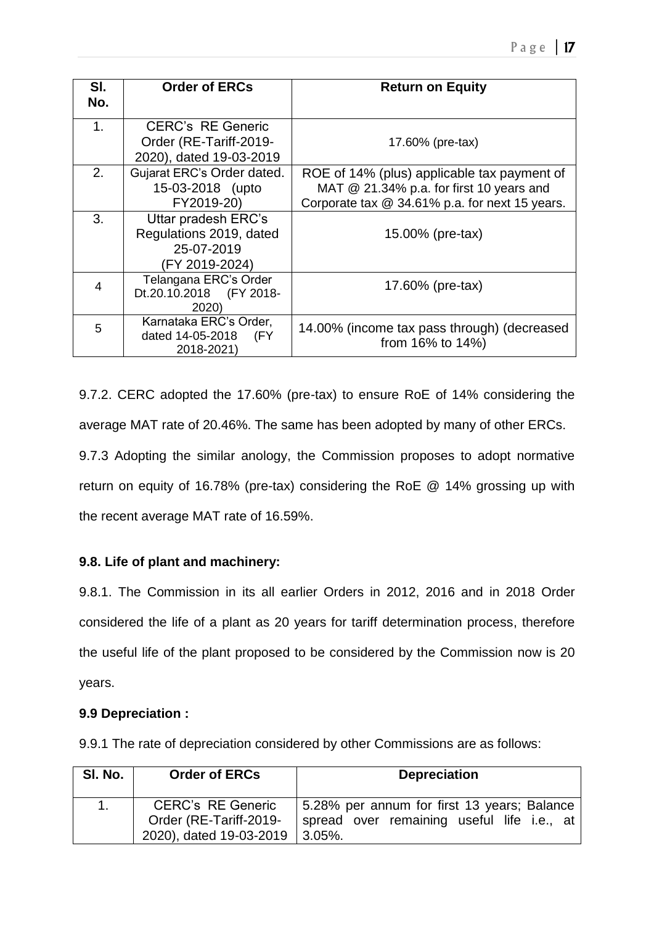| SI.<br>No. | <b>Order of ERCs</b>                                                           | <b>Return on Equity</b>                                                                                                                     |
|------------|--------------------------------------------------------------------------------|---------------------------------------------------------------------------------------------------------------------------------------------|
| 1.         | <b>CERC's RE Generic</b><br>Order (RE-Tariff-2019-<br>2020), dated 19-03-2019  | 17.60% (pre-tax)                                                                                                                            |
| 2.         | Gujarat ERC's Order dated.<br>15-03-2018 (upto<br>FY2019-20)                   | ROE of 14% (plus) applicable tax payment of<br>MAT $@$ 21.34% p.a. for first 10 years and<br>Corporate tax @ 34.61% p.a. for next 15 years. |
| 3.         | Uttar pradesh ERC's<br>Regulations 2019, dated<br>25-07-2019<br>(FY 2019-2024) | 15.00% (pre-tax)                                                                                                                            |
| 4          | Telangana ERC's Order<br>Dt.20.10.2018 (FY 2018-<br>2020)                      | 17.60% (pre-tax)                                                                                                                            |
| 5          | Karnataka ERC's Order,<br>dated 14-05-2018<br>(FY<br>2018-2021)                | 14.00% (income tax pass through) (decreased<br>from $16\%$ to $14\%$ )                                                                      |

9.7.2. CERC adopted the 17.60% (pre-tax) to ensure RoE of 14% considering the average MAT rate of 20.46%. The same has been adopted by many of other ERCs. 9.7.3 Adopting the similar anology, the Commission proposes to adopt normative return on equity of 16.78% (pre-tax) considering the RoE @ 14% grossing up with the recent average MAT rate of 16.59%.

## **9.8. Life of plant and machinery:**

9.8.1. The Commission in its all earlier Orders in 2012, 2016 and in 2018 Order considered the life of a plant as 20 years for tariff determination process, therefore the useful life of the plant proposed to be considered by the Commission now is 20 years.

## **9.9 Depreciation :**

9.9.1 The rate of depreciation considered by other Commissions are as follows:

| SI. No. | <b>Order of ERCs</b>                                                          | <b>Depreciation</b>                                                                                               |
|---------|-------------------------------------------------------------------------------|-------------------------------------------------------------------------------------------------------------------|
| $1_{-}$ | <b>CERC's RE Generic</b><br>Order (RE-Tariff-2019-<br>2020), dated 19-03-2019 | 5.28% per annum for first 13 years; Balance<br>spread over remaining useful life i.e., at<br>$\vert 3.05\% \vert$ |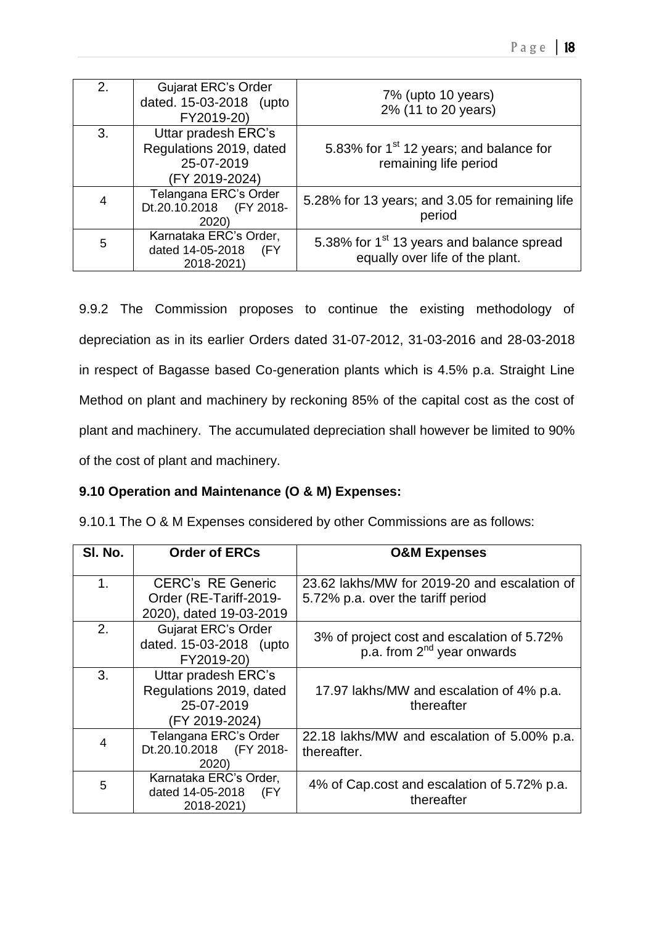| 2. | <b>Gujarat ERC's Order</b><br>dated. 15-03-2018 (upto<br>FY2019-20)            | 7% (upto 10 years)<br>2% (11 to 20 years)                                                |
|----|--------------------------------------------------------------------------------|------------------------------------------------------------------------------------------|
| 3. | Uttar pradesh ERC's<br>Regulations 2019, dated<br>25-07-2019<br>(FY 2019-2024) | 5.83% for 1 <sup>st</sup> 12 years; and balance for<br>remaining life period             |
| 4  | Telangana ERC's Order<br>Dt.20.10.2018 (FY 2018-<br>2020)                      | 5.28% for 13 years; and 3.05 for remaining life<br>period                                |
| 5  | Karnataka ERC's Order,<br>dated 14-05-2018<br>(FY<br>2018-2021)                | 5.38% for 1 <sup>st</sup> 13 years and balance spread<br>equally over life of the plant. |

9.9.2 The Commission proposes to continue the existing methodology of depreciation as in its earlier Orders dated 31-07-2012, 31-03-2016 and 28-03-2018 in respect of Bagasse based Co-generation plants which is 4.5% p.a. Straight Line Method on plant and machinery by reckoning 85% of the capital cost as the cost of plant and machinery. The accumulated depreciation shall however be limited to 90% of the cost of plant and machinery.

## **9.10 Operation and Maintenance (O & M) Expenses:**

| SI. No.        | <b>Order of ERCs</b>                                  | <b>O&amp;M Expenses</b>                                   |
|----------------|-------------------------------------------------------|-----------------------------------------------------------|
|                |                                                       |                                                           |
| 1.             | <b>CERC's RE Generic</b>                              | 23.62 lakhs/MW for 2019-20 and escalation of              |
|                | Order (RE-Tariff-2019-                                | 5.72% p.a. over the tariff period                         |
|                | 2020), dated 19-03-2019                               |                                                           |
| 2.             | <b>Gujarat ERC's Order</b><br>dated. 15-03-2018 (upto | 3% of project cost and escalation of 5.72%                |
|                | FY2019-20)                                            | p.a. from 2 <sup>nd</sup> year onwards                    |
| 3.             | Uttar pradesh ERC's                                   |                                                           |
|                | Regulations 2019, dated                               | 17.97 lakhs/MW and escalation of 4% p.a.                  |
|                | 25-07-2019                                            | thereafter                                                |
|                | (FY 2019-2024)                                        |                                                           |
| $\overline{4}$ | Telangana ERC's Order                                 | 22.18 lakhs/MW and escalation of 5.00% p.a.               |
|                | Dt.20.10.2018<br>(FY 2018-                            | thereafter.                                               |
|                | 2020)                                                 |                                                           |
| 5              | Karnataka ERC's Order,<br>dated 14-05-2018<br>(FY     | 4% of Cap.cost and escalation of 5.72% p.a.<br>thereafter |
|                | 2018-2021)                                            |                                                           |

9.10.1 The O & M Expenses considered by other Commissions are as follows: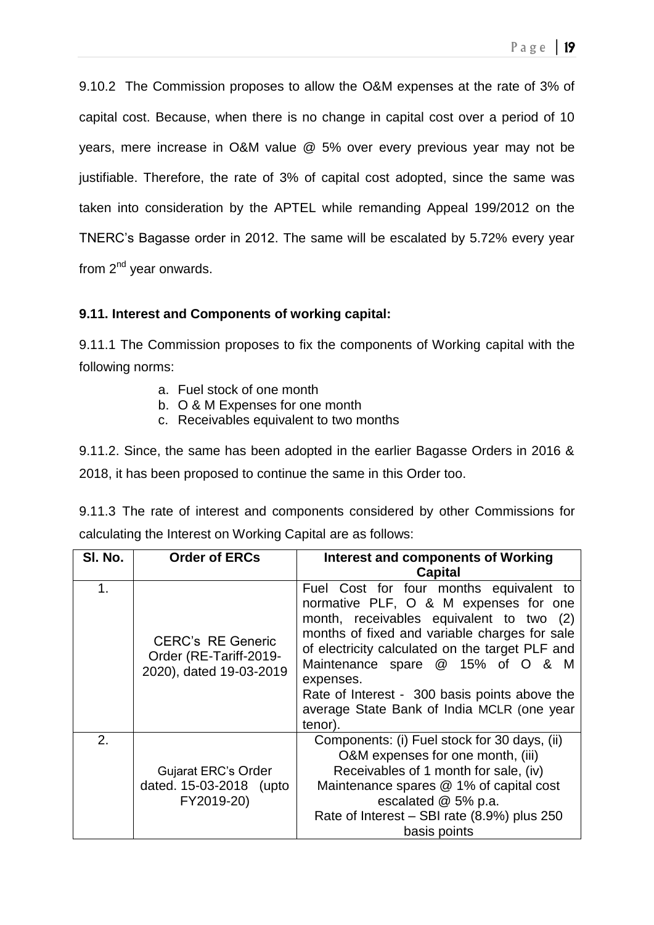9.10.2 The Commission proposes to allow the O&M expenses at the rate of 3% of capital cost. Because, when there is no change in capital cost over a period of 10 years, mere increase in O&M value @ 5% over every previous year may not be justifiable. Therefore, the rate of 3% of capital cost adopted, since the same was taken into consideration by the APTEL while remanding Appeal 199/2012 on the TNERC's Bagasse order in 2012. The same will be escalated by 5.72% every year from  $2^{nd}$  year onwards.

## **9.11. Interest and Components of working capital:**

9.11.1 The Commission proposes to fix the components of Working capital with the following norms:

- a. Fuel stock of one month
- b. O & M Expenses for one month
- c. Receivables equivalent to two months

9.11.2. Since, the same has been adopted in the earlier Bagasse Orders in 2016 & 2018, it has been proposed to continue the same in this Order too.

9.11.3 The rate of interest and components considered by other Commissions for calculating the Interest on Working Capital are as follows:

| SI. No. | <b>Order of ERCs</b>                                                          | <b>Interest and components of Working</b>                                                                                                                                                                                                                                                                                                                                                   |
|---------|-------------------------------------------------------------------------------|---------------------------------------------------------------------------------------------------------------------------------------------------------------------------------------------------------------------------------------------------------------------------------------------------------------------------------------------------------------------------------------------|
|         |                                                                               | <b>Capital</b>                                                                                                                                                                                                                                                                                                                                                                              |
| 1.      | <b>CERC's RE Generic</b><br>Order (RE-Tariff-2019-<br>2020), dated 19-03-2019 | Fuel Cost for four months equivalent to<br>normative PLF, O & M expenses for one<br>month, receivables equivalent to two (2)<br>months of fixed and variable charges for sale<br>of electricity calculated on the target PLF and<br>Maintenance spare @ 15% of O & M<br>expenses.<br>Rate of Interest - 300 basis points above the<br>average State Bank of India MCLR (one year<br>tenor). |
| 2.      | <b>Gujarat ERC's Order</b><br>dated. 15-03-2018 (upto<br>FY2019-20)           | Components: (i) Fuel stock for 30 days, (ii)<br>O&M expenses for one month, (iii)<br>Receivables of 1 month for sale, (iv)<br>Maintenance spares @ 1% of capital cost<br>escalated @ 5% p.a.<br>Rate of Interest - SBI rate (8.9%) plus 250<br>basis points                                                                                                                                 |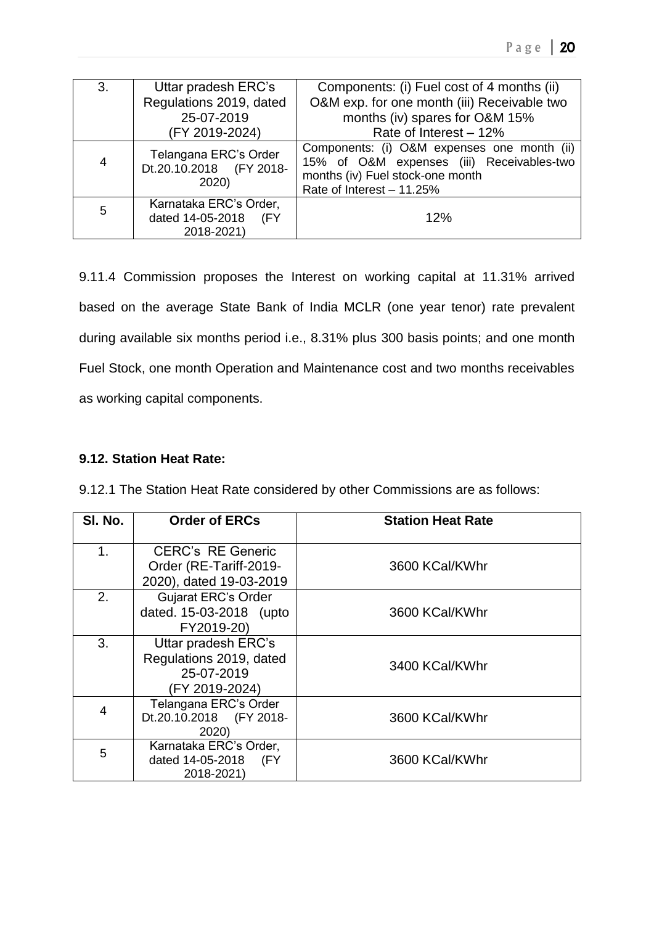| 3. | Uttar pradesh ERC's<br>Regulations 2019, dated<br>25-07-2019<br>(FY 2019-2024) | Components: (i) Fuel cost of 4 months (ii)<br>O&M exp. for one month (iii) Receivable two<br>months (iv) spares for O&M 15%<br>Rate of Interest - 12%     |
|----|--------------------------------------------------------------------------------|-----------------------------------------------------------------------------------------------------------------------------------------------------------|
| 4  | Telangana ERC's Order<br>Dt.20.10.2018 (FY 2018-<br>2020)                      | Components: (i) O&M expenses one month (ii)<br>15% of O&M expenses (iii) Receivables-two<br>months (iv) Fuel stock-one month<br>Rate of Interest - 11.25% |
| 5  | Karnataka ERC's Order,<br>dated 14-05-2018<br>(FY<br>2018-2021)                | 12%                                                                                                                                                       |

9.11.4 Commission proposes the Interest on working capital at 11.31% arrived based on the average State Bank of India MCLR (one year tenor) rate prevalent during available six months period i.e., 8.31% plus 300 basis points; and one month Fuel Stock, one month Operation and Maintenance cost and two months receivables as working capital components.

## **9.12. Station Heat Rate:**

| SI. No. | <b>Order of ERCs</b>                                                           | <b>Station Heat Rate</b> |
|---------|--------------------------------------------------------------------------------|--------------------------|
| 1.      | <b>CERC's RE Generic</b><br>Order (RE-Tariff-2019-<br>2020), dated 19-03-2019  | 3600 KCal/KWhr           |
| 2.      | <b>Gujarat ERC's Order</b><br>dated. 15-03-2018 (upto<br>FY2019-20)            | 3600 KCal/KWhr           |
| 3.      | Uttar pradesh ERC's<br>Regulations 2019, dated<br>25-07-2019<br>(FY 2019-2024) | 3400 KCal/KWhr           |
| 4       | Telangana ERC's Order<br>Dt.20.10.2018 (FY 2018-<br>2020)                      | 3600 KCal/KWhr           |
| 5       | Karnataka ERC's Order,<br>dated 14-05-2018 (FY<br>2018-2021)                   | 3600 KCal/KWhr           |

9.12.1 The Station Heat Rate considered by other Commissions are as follows: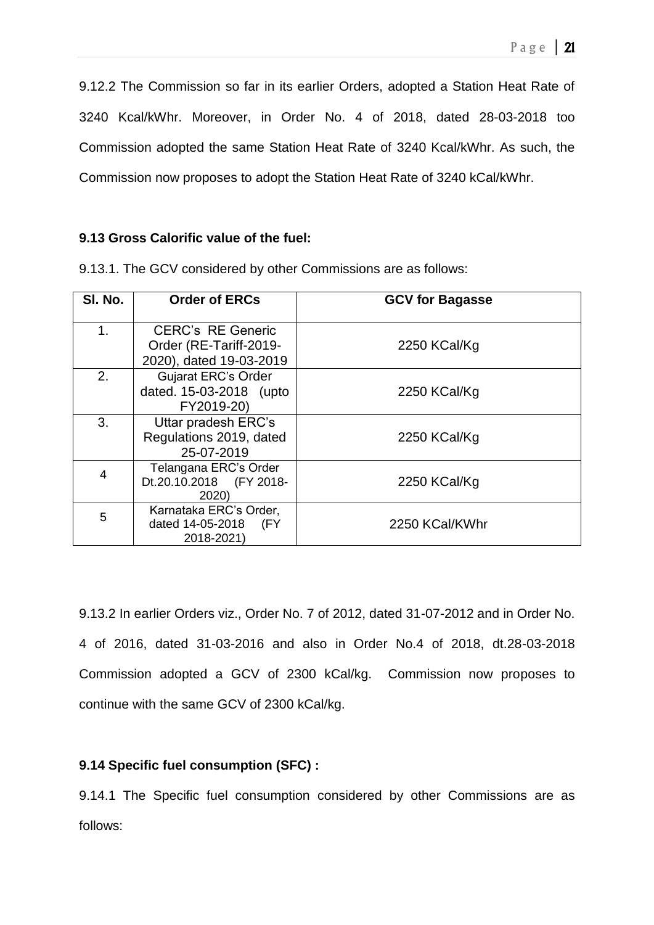9.12.2 The Commission so far in its earlier Orders, adopted a Station Heat Rate of 3240 Kcal/kWhr. Moreover, in Order No. 4 of 2018, dated 28-03-2018 too Commission adopted the same Station Heat Rate of 3240 Kcal/kWhr. As such, the Commission now proposes to adopt the Station Heat Rate of 3240 kCal/kWhr.

## **9.13 Gross Calorific value of the fuel:**

| SI. No. | <b>Order of ERCs</b>                                                | <b>GCV for Bagasse</b> |
|---------|---------------------------------------------------------------------|------------------------|
| 1.      | <b>CERC's RE Generic</b><br>Order (RE-Tariff-2019-                  | 2250 KCal/Kg           |
|         | 2020), dated 19-03-2019                                             |                        |
| 2.      | <b>Gujarat ERC's Order</b><br>dated. 15-03-2018 (upto<br>FY2019-20) | 2250 KCal/Kg           |
| 3.      | Uttar pradesh ERC's<br>Regulations 2019, dated<br>25-07-2019        | 2250 KCal/Kg           |
| 4       | Telangana ERC's Order<br>Dt.20.10.2018 (FY 2018-<br>2020)           | 2250 KCal/Kg           |
| 5       | Karnataka ERC's Order,<br>dated 14-05-2018 (FY<br>2018-2021)        | 2250 KCal/KWhr         |

9.13.1. The GCV considered by other Commissions are as follows:

9.13.2 In earlier Orders viz., Order No. 7 of 2012, dated 31-07-2012 and in Order No. 4 of 2016, dated 31-03-2016 and also in Order No.4 of 2018, dt.28-03-2018 Commission adopted a GCV of 2300 kCal/kg. Commission now proposes to continue with the same GCV of 2300 kCal/kg.

## **9.14 Specific fuel consumption (SFC) :**

9.14.1 The Specific fuel consumption considered by other Commissions are as follows: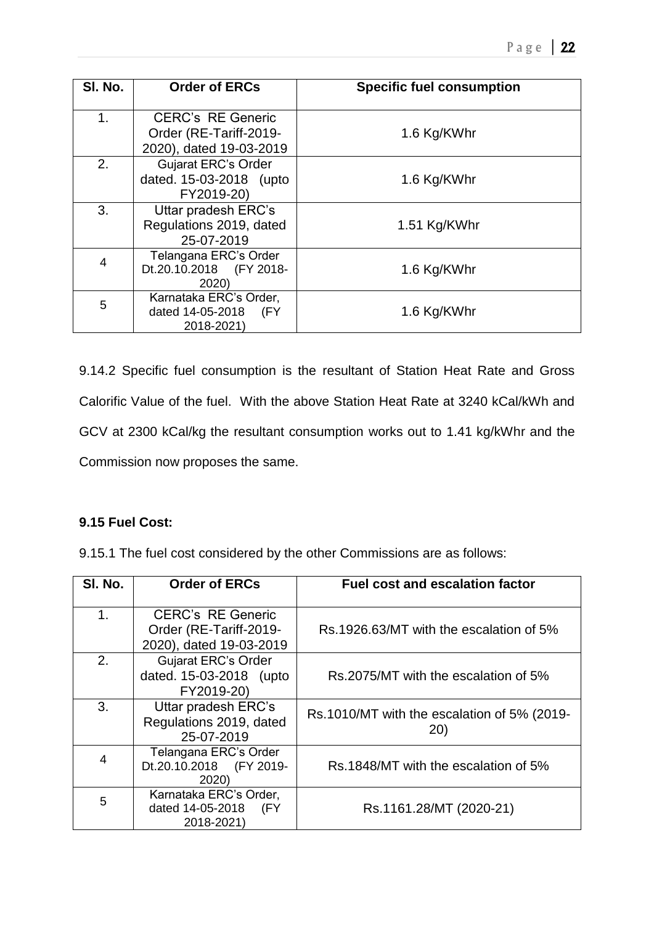| SI. No. | <b>Order of ERCs</b>                                                | <b>Specific fuel consumption</b> |
|---------|---------------------------------------------------------------------|----------------------------------|
| 1.      | <b>CERC's RE Generic</b><br>Order (RE-Tariff-2019-                  | 1.6 Kg/KWhr                      |
|         | 2020), dated 19-03-2019                                             |                                  |
| 2.      | <b>Gujarat ERC's Order</b><br>dated. 15-03-2018 (upto<br>FY2019-20) | 1.6 Kg/KWhr                      |
| 3.      | Uttar pradesh ERC's<br>Regulations 2019, dated<br>25-07-2019        | 1.51 Kg/KWhr                     |
| 4       | Telangana ERC's Order<br>Dt.20.10.2018 (FY 2018-<br>2020)           | 1.6 Kg/KWhr                      |
| 5       | Karnataka ERC's Order,<br>dated 14-05-2018 (FY<br>2018-2021)        | 1.6 Kg/KWhr                      |

9.14.2 Specific fuel consumption is the resultant of Station Heat Rate and Gross Calorific Value of the fuel. With the above Station Heat Rate at 3240 kCal/kWh and GCV at 2300 kCal/kg the resultant consumption works out to 1.41 kg/kWhr and the Commission now proposes the same.

## **9.15 Fuel Cost:**

9.15.1 The fuel cost considered by the other Commissions are as follows:

| SI. No.        | <b>Order of ERCs</b>                                                          | <b>Fuel cost and escalation factor</b>             |
|----------------|-------------------------------------------------------------------------------|----------------------------------------------------|
| 1.             | <b>CERC's RE Generic</b><br>Order (RE-Tariff-2019-<br>2020), dated 19-03-2019 | Rs.1926.63/MT with the escalation of 5%            |
| 2.             | <b>Gujarat ERC's Order</b><br>dated. 15-03-2018 (upto<br>FY2019-20)           | Rs.2075/MT with the escalation of 5%               |
| 3.             | Uttar pradesh ERC's<br>Regulations 2019, dated<br>25-07-2019                  | Rs.1010/MT with the escalation of 5% (2019-<br>20) |
| $\overline{4}$ | Telangana ERC's Order<br>Dt.20.10.2018 (FY 2019-<br>2020)                     | Rs.1848/MT with the escalation of 5%               |
| 5              | Karnataka ERC's Order,<br>dated 14-05-2018<br>(FY<br>2018-2021)               | Rs.1161.28/MT (2020-21)                            |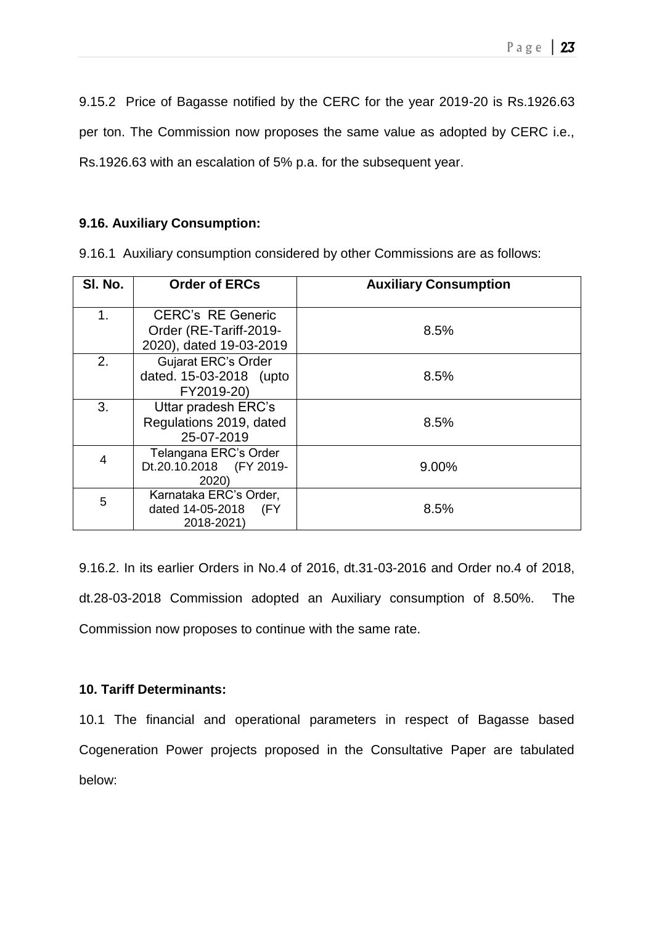9.15.2 Price of Bagasse notified by the CERC for the year 2019-20 is Rs.1926.63 per ton. The Commission now proposes the same value as adopted by CERC i.e., Rs.1926.63 with an escalation of 5% p.a. for the subsequent year.

**9.16. Auxiliary Consumption:**

9.16.1 Auxiliary consumption considered by other Commissions are as follows:

| SI. No. | <b>Order of ERCs</b>       | <b>Auxiliary Consumption</b> |
|---------|----------------------------|------------------------------|
| 1.      | <b>CERC's RE Generic</b>   |                              |
|         | Order (RE-Tariff-2019-     | 8.5%                         |
|         | 2020), dated 19-03-2019    |                              |
| 2.      | <b>Gujarat ERC's Order</b> |                              |
|         | dated. 15-03-2018 (upto    | 8.5%                         |
|         | FY2019-20)                 |                              |
| 3.      | Uttar pradesh ERC's        |                              |
|         | Regulations 2019, dated    | 8.5%                         |
|         | 25-07-2019                 |                              |
| 4       | Telangana ERC's Order      |                              |
|         | Dt.20.10.2018 (FY 2019-    | 9.00%                        |
|         | 2020)                      |                              |
| 5       | Karnataka ERC's Order,     |                              |
|         | dated 14-05-2018 (FY       | 8.5%                         |
|         | 2018-2021)                 |                              |

9.16.2. In its earlier Orders in No.4 of 2016, dt.31-03-2016 and Order no.4 of 2018, dt.28-03-2018 Commission adopted an Auxiliary consumption of 8.50%. The Commission now proposes to continue with the same rate.

## **10. Tariff Determinants:**

10.1 The financial and operational parameters in respect of Bagasse based Cogeneration Power projects proposed in the Consultative Paper are tabulated below: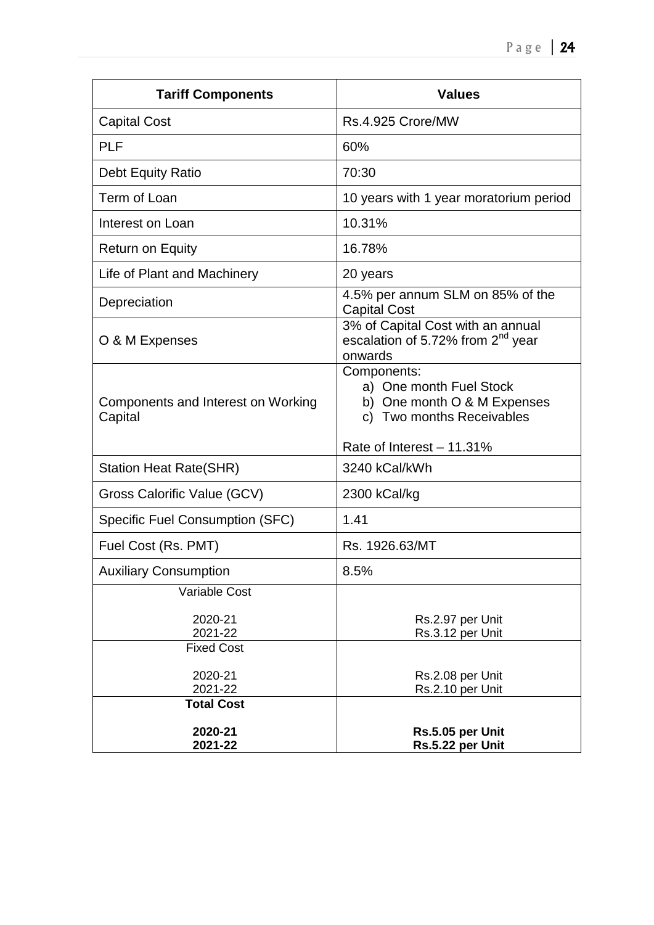| <b>Tariff Components</b>                      | <b>Values</b>                                                                                                                   |
|-----------------------------------------------|---------------------------------------------------------------------------------------------------------------------------------|
| <b>Capital Cost</b>                           | Rs.4.925 Crore/MW                                                                                                               |
| <b>PLF</b>                                    | 60%                                                                                                                             |
| Debt Equity Ratio                             | 70:30                                                                                                                           |
| Term of Loan                                  | 10 years with 1 year moratorium period                                                                                          |
| Interest on Loan                              | 10.31%                                                                                                                          |
| <b>Return on Equity</b>                       | 16.78%                                                                                                                          |
| Life of Plant and Machinery                   | 20 years                                                                                                                        |
| Depreciation                                  | 4.5% per annum SLM on 85% of the<br><b>Capital Cost</b>                                                                         |
| O & M Expenses                                | 3% of Capital Cost with an annual<br>escalation of 5.72% from 2 <sup>nd</sup> year<br>onwards                                   |
| Components and Interest on Working<br>Capital | Components:<br>a) One month Fuel Stock<br>b) One month O & M Expenses<br>c) Two months Receivables<br>Rate of Interest - 11.31% |
| <b>Station Heat Rate(SHR)</b>                 | 3240 kCal/kWh                                                                                                                   |
| Gross Calorific Value (GCV)                   | 2300 kCal/kg                                                                                                                    |
| <b>Specific Fuel Consumption (SFC)</b>        | 1.41                                                                                                                            |
| Fuel Cost (Rs. PMT)                           | Rs. 1926.63/MT                                                                                                                  |
| <b>Auxiliary Consumption</b>                  | 8.5%                                                                                                                            |
| <b>Variable Cost</b>                          |                                                                                                                                 |
| 2020-21<br>2021-22                            | Rs.2.97 per Unit<br>Rs.3.12 per Unit                                                                                            |
| <b>Fixed Cost</b><br>2020-21<br>2021-22       | Rs.2.08 per Unit<br>Rs.2.10 per Unit                                                                                            |
| <b>Total Cost</b>                             |                                                                                                                                 |
| 2020-21<br>2021-22                            | Rs.5.05 per Unit<br>Rs.5.22 per Unit                                                                                            |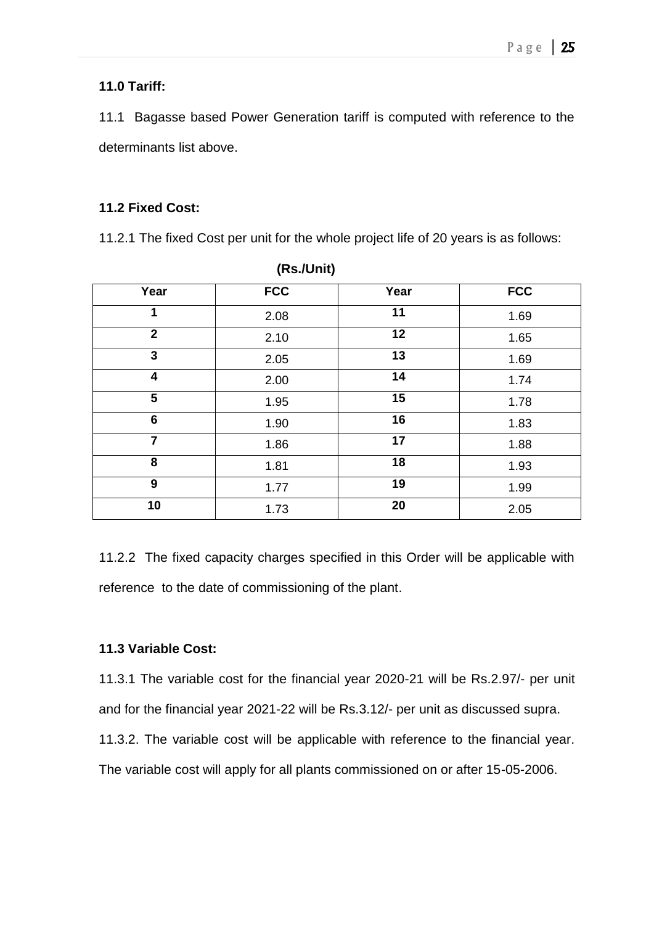## **11.0 Tariff:**

11.1 Bagasse based Power Generation tariff is computed with reference to the determinants list above.

## **11.2 Fixed Cost:**

11.2.1 The fixed Cost per unit for the whole project life of 20 years is as follows:

|                         | $\overline{\phantom{a}}$ |      |            |
|-------------------------|--------------------------|------|------------|
| Year                    | <b>FCC</b>               | Year | <b>FCC</b> |
| 1                       | 2.08                     | 11   | 1.69       |
| $\mathbf{2}$            | 2.10                     | 12   | 1.65       |
| 3                       | 2.05                     | 13   | 1.69       |
| $\overline{\mathbf{4}}$ | 2.00                     | 14   | 1.74       |
| 5                       | 1.95                     | 15   | 1.78       |
| 6                       | 1.90                     | 16   | 1.83       |
| $\overline{7}$          | 1.86                     | 17   | 1.88       |
| 8                       | 1.81                     | 18   | 1.93       |
| $\boldsymbol{9}$        | 1.77                     | 19   | 1.99       |
| 10                      | 1.73                     | 20   | 2.05       |

**(Rs./Unit)**

11.2.2 The fixed capacity charges specified in this Order will be applicable with reference to the date of commissioning of the plant.

## **11.3 Variable Cost:**

11.3.1 The variable cost for the financial year 2020-21 will be Rs.2.97/- per unit and for the financial year 2021-22 will be Rs.3.12/- per unit as discussed supra. 11.3.2. The variable cost will be applicable with reference to the financial year. The variable cost will apply for all plants commissioned on or after 15-05-2006.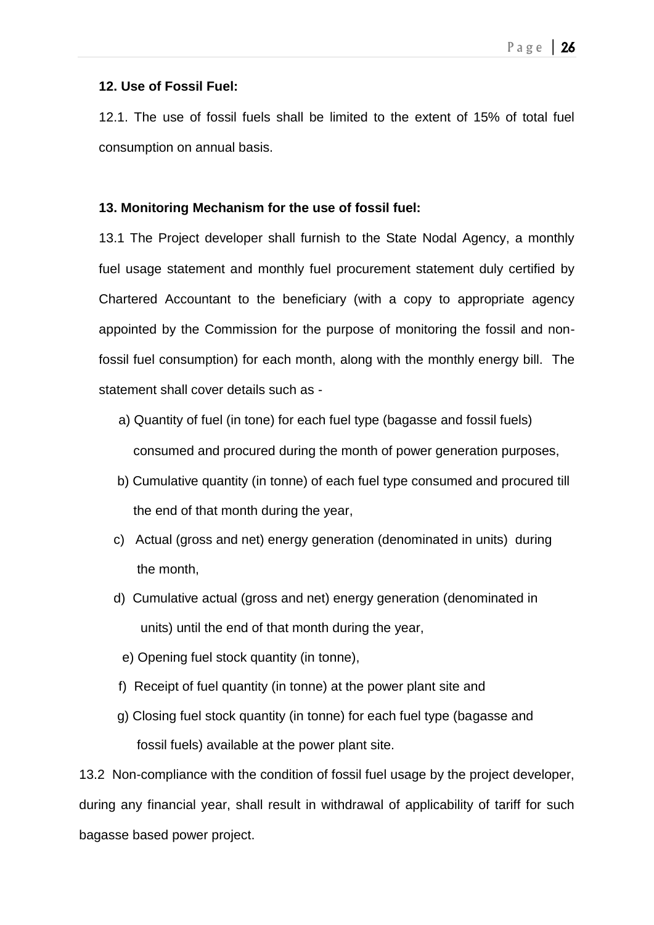## **12. Use of Fossil Fuel:**

12.1. The use of fossil fuels shall be limited to the extent of 15% of total fuel consumption on annual basis.

## **13. Monitoring Mechanism for the use of fossil fuel:**

13.1 The Project developer shall furnish to the State Nodal Agency, a monthly fuel usage statement and monthly fuel procurement statement duly certified by Chartered Accountant to the beneficiary (with a copy to appropriate agency appointed by the Commission for the purpose of monitoring the fossil and nonfossil fuel consumption) for each month, along with the monthly energy bill. The statement shall cover details such as -

- a) Quantity of fuel (in tone) for each fuel type (bagasse and fossil fuels) consumed and procured during the month of power generation purposes,
- b) Cumulative quantity (in tonne) of each fuel type consumed and procured till the end of that month during the year,
- c) Actual (gross and net) energy generation (denominated in units) during the month,
- d) Cumulative actual (gross and net) energy generation (denominated in units) until the end of that month during the year,
	- e) Opening fuel stock quantity (in tonne),
- f) Receipt of fuel quantity (in tonne) at the power plant site and
- g) Closing fuel stock quantity (in tonne) for each fuel type (bagasse and fossil fuels) available at the power plant site.

13.2 Non-compliance with the condition of fossil fuel usage by the project developer, during any financial year, shall result in withdrawal of applicability of tariff for such bagasse based power project.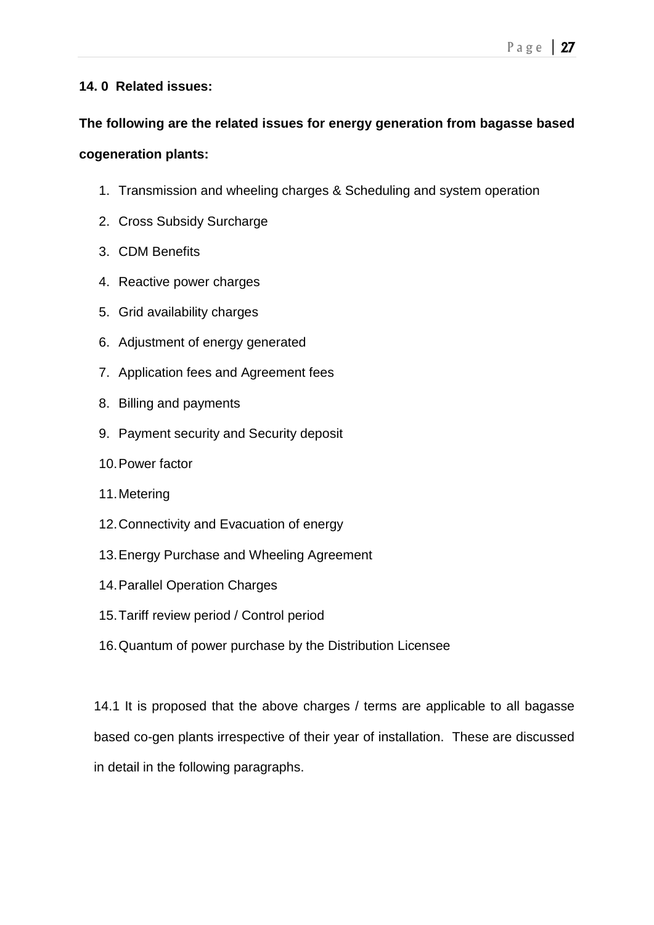## **14. 0 Related issues:**

# **The following are the related issues for energy generation from bagasse based cogeneration plants:**

- 1. Transmission and wheeling charges & Scheduling and system operation
- 2. Cross Subsidy Surcharge
- 3. CDM Benefits
- 4. Reactive power charges
- 5. Grid availability charges
- 6. Adjustment of energy generated
- 7. Application fees and Agreement fees
- 8. Billing and payments
- 9. Payment security and Security deposit
- 10.Power factor
- 11.Metering
- 12.Connectivity and Evacuation of energy
- 13.Energy Purchase and Wheeling Agreement
- 14.Parallel Operation Charges
- 15.Tariff review period / Control period
- 16.Quantum of power purchase by the Distribution Licensee

14.1 It is proposed that the above charges / terms are applicable to all bagasse based co-gen plants irrespective of their year of installation. These are discussed in detail in the following paragraphs.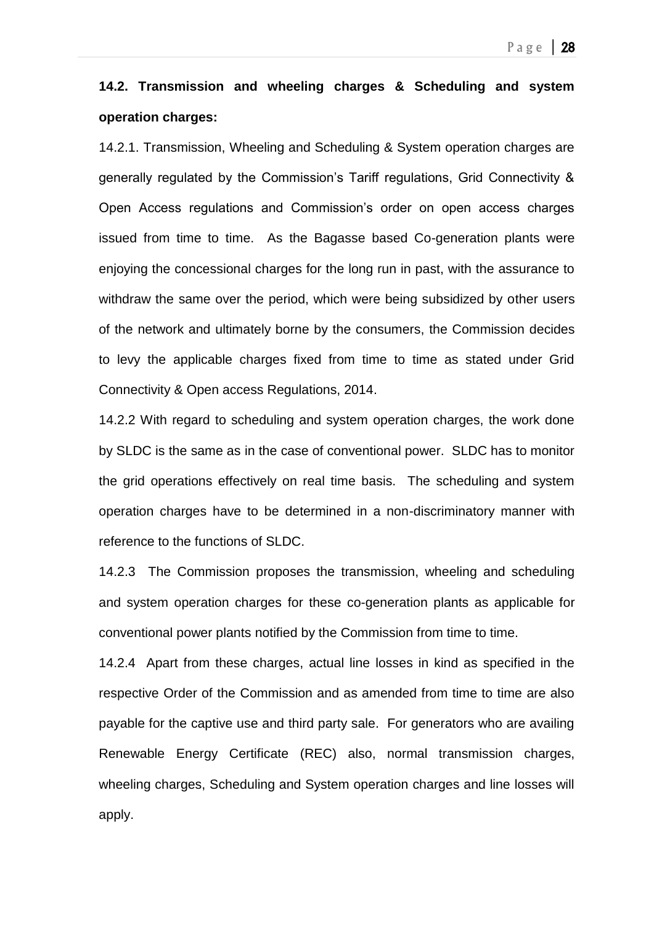# **14.2. Transmission and wheeling charges & Scheduling and system operation charges:**

14.2.1. Transmission, Wheeling and Scheduling & System operation charges are generally regulated by the Commission's Tariff regulations, Grid Connectivity & Open Access regulations and Commission's order on open access charges issued from time to time. As the Bagasse based Co-generation plants were enjoying the concessional charges for the long run in past, with the assurance to withdraw the same over the period, which were being subsidized by other users of the network and ultimately borne by the consumers, the Commission decides to levy the applicable charges fixed from time to time as stated under Grid Connectivity & Open access Regulations, 2014.

14.2.2 With regard to scheduling and system operation charges, the work done by SLDC is the same as in the case of conventional power. SLDC has to monitor the grid operations effectively on real time basis. The scheduling and system operation charges have to be determined in a non-discriminatory manner with reference to the functions of SLDC.

14.2.3 The Commission proposes the transmission, wheeling and scheduling and system operation charges for these co-generation plants as applicable for conventional power plants notified by the Commission from time to time.

14.2.4 Apart from these charges, actual line losses in kind as specified in the respective Order of the Commission and as amended from time to time are also payable for the captive use and third party sale. For generators who are availing Renewable Energy Certificate (REC) also, normal transmission charges, wheeling charges, Scheduling and System operation charges and line losses will apply.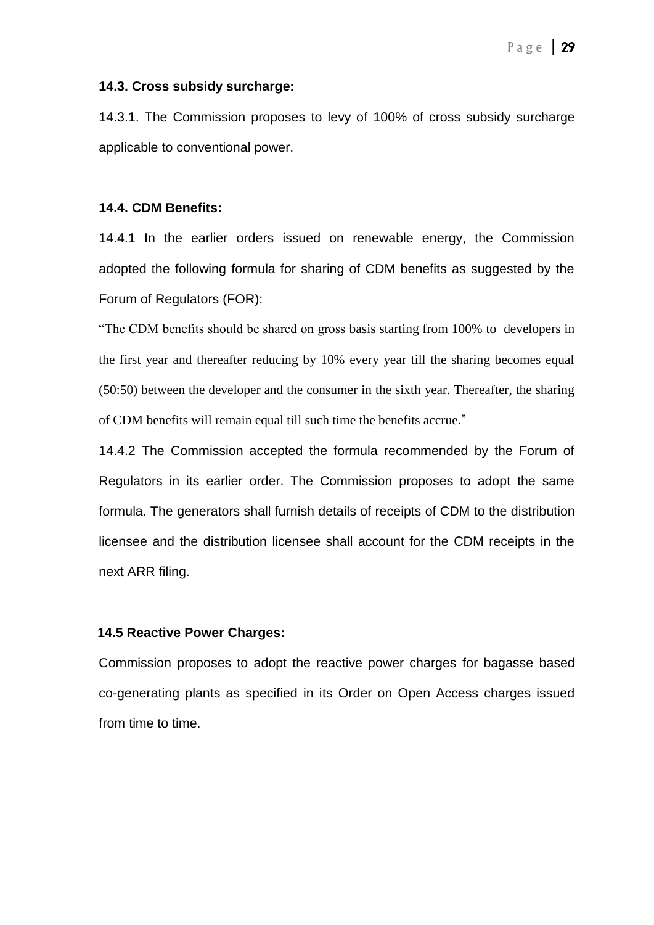#### **14.3. Cross subsidy surcharge:**

14.3.1. The Commission proposes to levy of 100% of cross subsidy surcharge applicable to conventional power.

### **14.4. CDM Benefits:**

14.4.1 In the earlier orders issued on renewable energy, the Commission adopted the following formula for sharing of CDM benefits as suggested by the Forum of Regulators (FOR):

"The CDM benefits should be shared on gross basis starting from 100% to developers in the first year and thereafter reducing by 10% every year till the sharing becomes equal (50:50) between the developer and the consumer in the sixth year. Thereafter, the sharing of CDM benefits will remain equal till such time the benefits accrue."

14.4.2 The Commission accepted the formula recommended by the Forum of Regulators in its earlier order. The Commission proposes to adopt the same formula. The generators shall furnish details of receipts of CDM to the distribution licensee and the distribution licensee shall account for the CDM receipts in the next ARR filing.

### **14.5 Reactive Power Charges:**

Commission proposes to adopt the reactive power charges for bagasse based co-generating plants as specified in its Order on Open Access charges issued from time to time.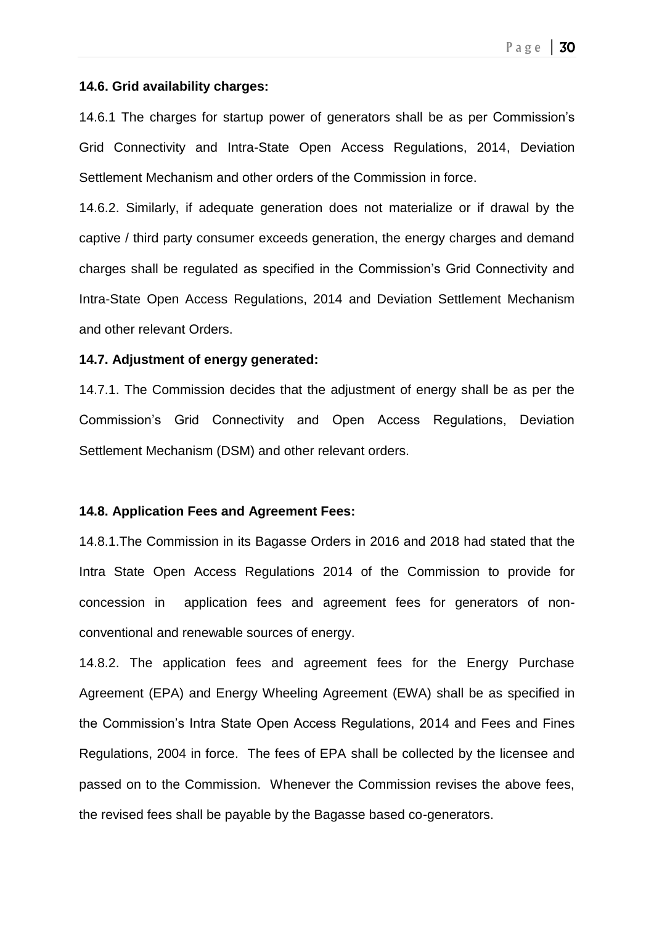#### **14.6. Grid availability charges:**

14.6.1 The charges for startup power of generators shall be as per Commission's Grid Connectivity and Intra-State Open Access Regulations, 2014, Deviation Settlement Mechanism and other orders of the Commission in force.

14.6.2. Similarly, if adequate generation does not materialize or if drawal by the captive / third party consumer exceeds generation, the energy charges and demand charges shall be regulated as specified in the Commission's Grid Connectivity and Intra-State Open Access Regulations, 2014 and Deviation Settlement Mechanism and other relevant Orders.

#### **14.7. Adjustment of energy generated:**

14.7.1. The Commission decides that the adjustment of energy shall be as per the Commission's Grid Connectivity and Open Access Regulations, Deviation Settlement Mechanism (DSM) and other relevant orders.

### **14.8. Application Fees and Agreement Fees:**

14.8.1.The Commission in its Bagasse Orders in 2016 and 2018 had stated that the Intra State Open Access Regulations 2014 of the Commission to provide for concession in application fees and agreement fees for generators of nonconventional and renewable sources of energy.

14.8.2. The application fees and agreement fees for the Energy Purchase Agreement (EPA) and Energy Wheeling Agreement (EWA) shall be as specified in the Commission's Intra State Open Access Regulations, 2014 and Fees and Fines Regulations, 2004 in force. The fees of EPA shall be collected by the licensee and passed on to the Commission. Whenever the Commission revises the above fees, the revised fees shall be payable by the Bagasse based co-generators.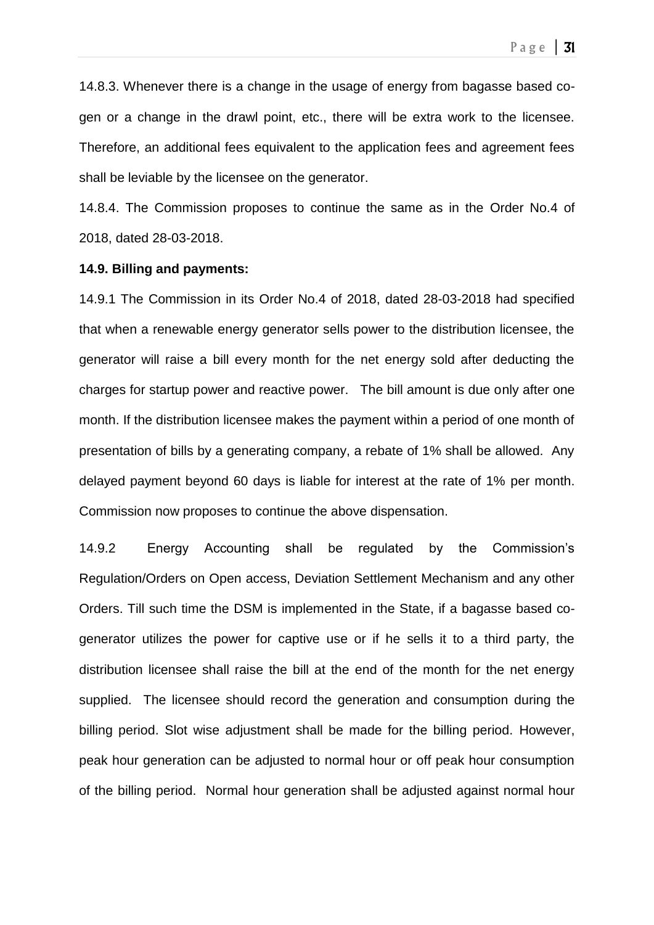14.8.3. Whenever there is a change in the usage of energy from bagasse based cogen or a change in the drawl point, etc., there will be extra work to the licensee. Therefore, an additional fees equivalent to the application fees and agreement fees shall be leviable by the licensee on the generator.

14.8.4. The Commission proposes to continue the same as in the Order No.4 of 2018, dated 28-03-2018.

#### **14.9. Billing and payments:**

14.9.1 The Commission in its Order No.4 of 2018, dated 28-03-2018 had specified that when a renewable energy generator sells power to the distribution licensee, the generator will raise a bill every month for the net energy sold after deducting the charges for startup power and reactive power. The bill amount is due only after one month. If the distribution licensee makes the payment within a period of one month of presentation of bills by a generating company, a rebate of 1% shall be allowed. Any delayed payment beyond 60 days is liable for interest at the rate of 1% per month. Commission now proposes to continue the above dispensation.

14.9.2 Energy Accounting shall be regulated by the Commission's Regulation/Orders on Open access, Deviation Settlement Mechanism and any other Orders. Till such time the DSM is implemented in the State, if a bagasse based cogenerator utilizes the power for captive use or if he sells it to a third party, the distribution licensee shall raise the bill at the end of the month for the net energy supplied. The licensee should record the generation and consumption during the billing period. Slot wise adjustment shall be made for the billing period. However, peak hour generation can be adjusted to normal hour or off peak hour consumption of the billing period. Normal hour generation shall be adjusted against normal hour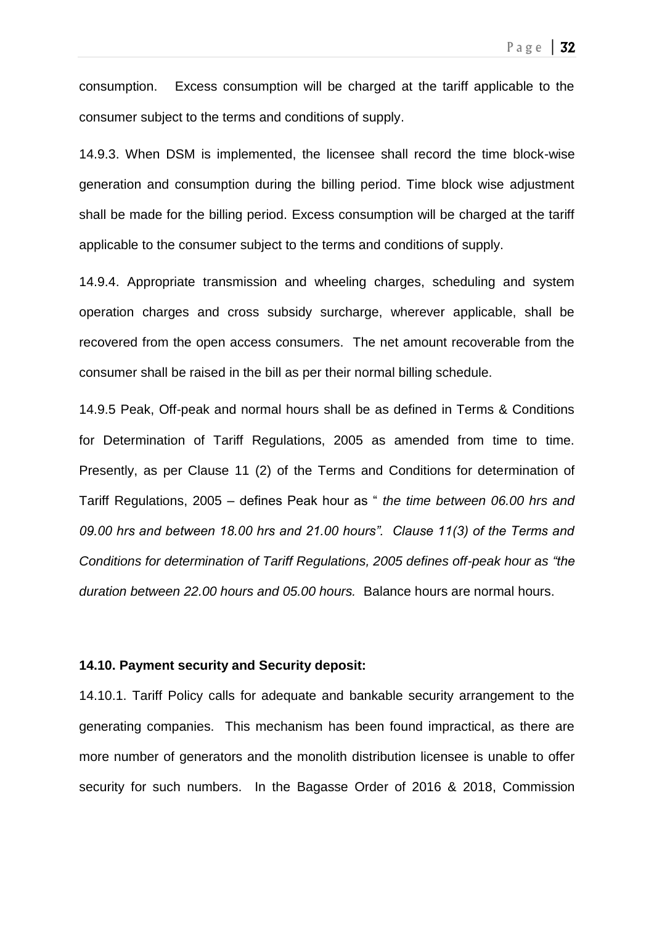consumption. Excess consumption will be charged at the tariff applicable to the consumer subject to the terms and conditions of supply.

14.9.3. When DSM is implemented, the licensee shall record the time block-wise generation and consumption during the billing period. Time block wise adjustment shall be made for the billing period. Excess consumption will be charged at the tariff applicable to the consumer subject to the terms and conditions of supply.

14.9.4. Appropriate transmission and wheeling charges, scheduling and system operation charges and cross subsidy surcharge, wherever applicable, shall be recovered from the open access consumers. The net amount recoverable from the consumer shall be raised in the bill as per their normal billing schedule.

14.9.5 Peak, Off-peak and normal hours shall be as defined in Terms & Conditions for Determination of Tariff Regulations, 2005 as amended from time to time. Presently, as per Clause 11 (2) of the Terms and Conditions for determination of Tariff Regulations, 2005 – defines Peak hour as " *the time between 06.00 hrs and 09.00 hrs and between 18.00 hrs and 21.00 hours". Clause 11(3) of the Terms and Conditions for determination of Tariff Regulations, 2005 defines off-peak hour as "the duration between 22.00 hours and 05.00 hours.* Balance hours are normal hours.

#### **14.10. Payment security and Security deposit:**

14.10.1. Tariff Policy calls for adequate and bankable security arrangement to the generating companies. This mechanism has been found impractical, as there are more number of generators and the monolith distribution licensee is unable to offer security for such numbers. In the Bagasse Order of 2016 & 2018, Commission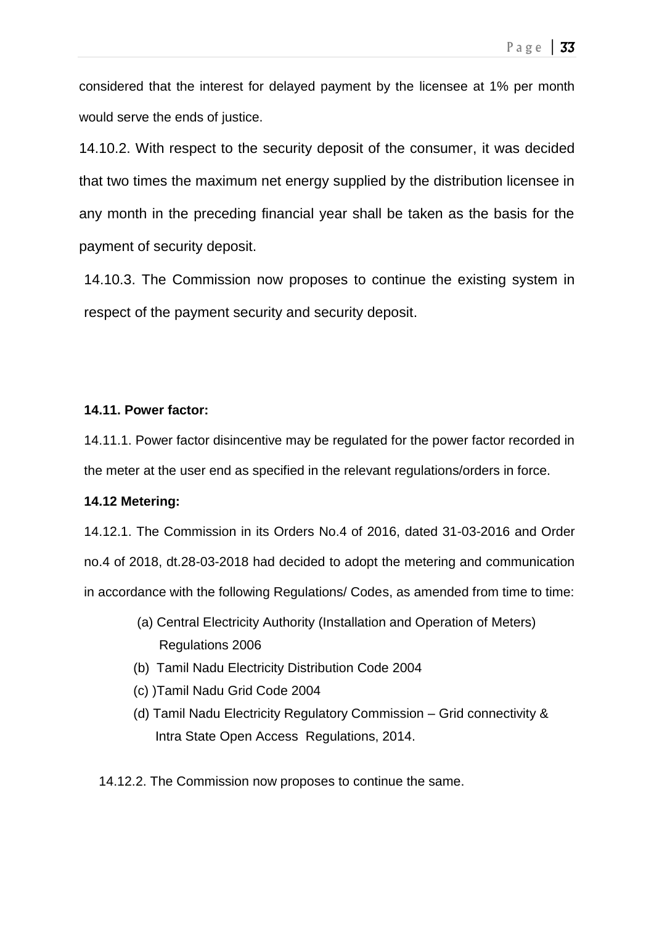considered that the interest for delayed payment by the licensee at 1% per month would serve the ends of justice.

14.10.2. With respect to the security deposit of the consumer, it was decided that two times the maximum net energy supplied by the distribution licensee in any month in the preceding financial year shall be taken as the basis for the payment of security deposit.

14.10.3. The Commission now proposes to continue the existing system in respect of the payment security and security deposit.

## **14.11. Power factor:**

14.11.1. Power factor disincentive may be regulated for the power factor recorded in the meter at the user end as specified in the relevant regulations/orders in force.

## **14.12 Metering:**

14.12.1. The Commission in its Orders No.4 of 2016, dated 31-03-2016 and Order no.4 of 2018, dt.28-03-2018 had decided to adopt the metering and communication in accordance with the following Regulations/ Codes, as amended from time to time:

- (a) Central Electricity Authority (Installation and Operation of Meters) Regulations 2006
- (b) Tamil Nadu Electricity Distribution Code 2004
- (c) )Tamil Nadu Grid Code 2004
- (d) Tamil Nadu Electricity Regulatory Commission Grid connectivity & Intra State Open Access Regulations, 2014.

14.12.2. The Commission now proposes to continue the same.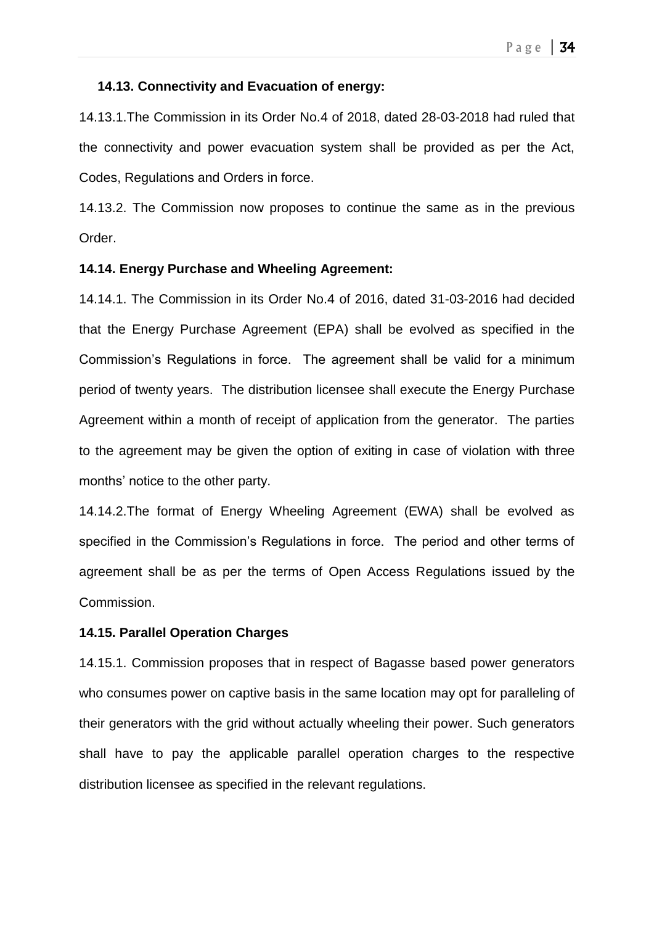#### **14.13. Connectivity and Evacuation of energy:**

14.13.1.The Commission in its Order No.4 of 2018, dated 28-03-2018 had ruled that the connectivity and power evacuation system shall be provided as per the Act, Codes, Regulations and Orders in force.

14.13.2. The Commission now proposes to continue the same as in the previous Order.

#### **14.14. Energy Purchase and Wheeling Agreement:**

14.14.1. The Commission in its Order No.4 of 2016, dated 31-03-2016 had decided that the Energy Purchase Agreement (EPA) shall be evolved as specified in the Commission's Regulations in force. The agreement shall be valid for a minimum period of twenty years. The distribution licensee shall execute the Energy Purchase Agreement within a month of receipt of application from the generator. The parties to the agreement may be given the option of exiting in case of violation with three months' notice to the other party.

14.14.2.The format of Energy Wheeling Agreement (EWA) shall be evolved as specified in the Commission's Regulations in force. The period and other terms of agreement shall be as per the terms of Open Access Regulations issued by the Commission.

### **14.15. Parallel Operation Charges**

14.15.1. Commission proposes that in respect of Bagasse based power generators who consumes power on captive basis in the same location may opt for paralleling of their generators with the grid without actually wheeling their power. Such generators shall have to pay the applicable parallel operation charges to the respective distribution licensee as specified in the relevant regulations.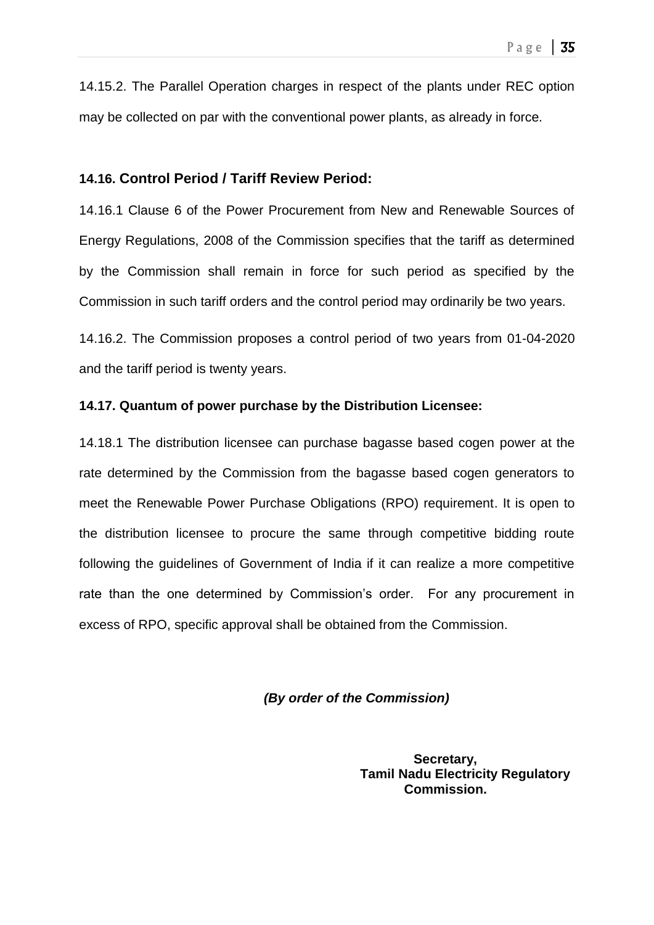14.15.2. The Parallel Operation charges in respect of the plants under REC option may be collected on par with the conventional power plants, as already in force.

## **14.16. Control Period / Tariff Review Period:**

14.16.1 Clause 6 of the Power Procurement from New and Renewable Sources of Energy Regulations, 2008 of the Commission specifies that the tariff as determined by the Commission shall remain in force for such period as specified by the Commission in such tariff orders and the control period may ordinarily be two years.

14.16.2. The Commission proposes a control period of two years from 01-04-2020 and the tariff period is twenty years.

### **14.17. Quantum of power purchase by the Distribution Licensee:**

14.18.1 The distribution licensee can purchase bagasse based cogen power at the rate determined by the Commission from the bagasse based cogen generators to meet the Renewable Power Purchase Obligations (RPO) requirement. It is open to the distribution licensee to procure the same through competitive bidding route following the guidelines of Government of India if it can realize a more competitive rate than the one determined by Commission's order. For any procurement in excess of RPO, specific approval shall be obtained from the Commission.

*(By order of the Commission)*

**Secretary, Tamil Nadu Electricity Regulatory Commission.**